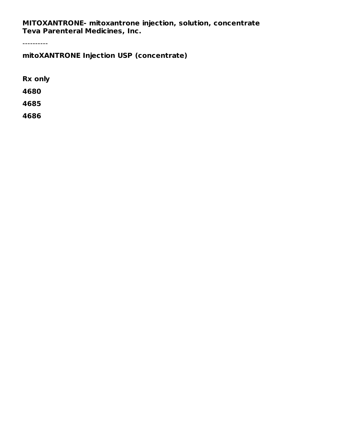**MITOXANTRONE- mitoxantrone injection, solution, concentrate Teva Parenteral Medicines, Inc.**

----------

**mitoXANTRONE Injection USP (concentrate)**

**Rx only**

**4680**

**4685**

**4686**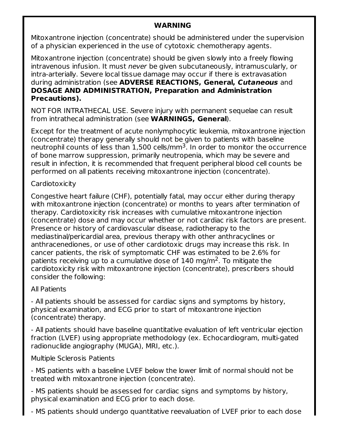#### **WARNING**

Mitoxantrone injection (concentrate) should be administered under the supervision of a physician experienced in the use of cytotoxic chemotherapy agents.

Mitoxantrone injection (concentrate) should be given slowly into a freely flowing intravenous infusion. It must never be given subcutaneously, intramuscularly, or intra-arterially. Severe local tissue damage may occur if there is extravasation during administration (see **ADVERSE REACTIONS, General, Cutaneous** and **DOSAGE AND ADMINISTRATION, Preparation and Administration Precautions).**

NOT FOR INTRATHECAL USE. Severe injury with permanent sequelae can result from intrathecal administration (see **WARNINGS, General**).

Except for the treatment of acute nonlymphocytic leukemia, mitoxantrone injection (concentrate) therapy generally should not be given to patients with baseline neutrophil counts of less than  $1,500$  cells/mm $^3$ . In order to monitor the occurrence of bone marrow suppression, primarily neutropenia, which may be severe and result in infection, it is recommended that frequent peripheral blood cell counts be performed on all patients receiving mitoxantrone injection (concentrate).

#### **Cardiotoxicity**

Congestive heart failure (CHF), potentially fatal, may occur either during therapy with mitoxantrone injection (concentrate) or months to years after termination of therapy. Cardiotoxicity risk increases with cumulative mitoxantrone injection (concentrate) dose and may occur whether or not cardiac risk factors are present. Presence or history of cardiovascular disease, radiotherapy to the mediastinal/pericardial area, previous therapy with other anthracyclines or anthracenediones, or use of other cardiotoxic drugs may increase this risk. In cancer patients, the risk of symptomatic CHF was estimated to be 2.6% for patients receiving up to a cumulative dose of  $140$  mg/m<sup>2</sup>. To mitigate the cardiotoxicity risk with mitoxantrone injection (concentrate), prescribers should consider the following:

### All Patients

- All patients should be assessed for cardiac signs and symptoms by history, physical examination, and ECG prior to start of mitoxantrone injection (concentrate) therapy.

- All patients should have baseline quantitative evaluation of left ventricular ejection fraction (LVEF) using appropriate methodology (ex. Echocardiogram, multi-gated radionuclide angiography (MUGA), MRI, etc.).

### Multiple Sclerosis Patients

- MS patients with a baseline LVEF below the lower limit of normal should not be treated with mitoxantrone injection (concentrate).

- MS patients should be assessed for cardiac signs and symptoms by history, physical examination and ECG prior to each dose.

- MS patients should undergo quantitative reevaluation of LVEF prior to each dose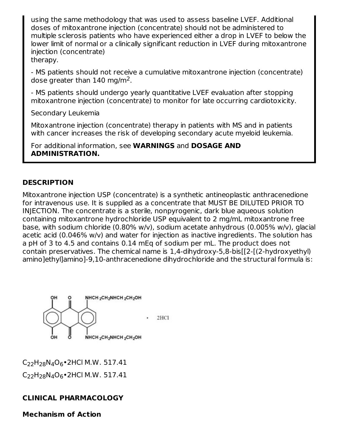using the same methodology that was used to assess baseline LVEF. Additional doses of mitoxantrone injection (concentrate) should not be administered to multiple sclerosis patients who have experienced either a drop in LVEF to below the lower limit of normal or a clinically significant reduction in LVEF during mitoxantrone injection (concentrate) therapy.

- MS patients should not receive a cumulative mitoxantrone injection (concentrate) dose greater than  $140 \text{ mg/m}^2$ .

- MS patients should undergo yearly quantitative LVEF evaluation after stopping mitoxantrone injection (concentrate) to monitor for late occurring cardiotoxicity.

Secondary Leukemia

Mitoxantrone injection (concentrate) therapy in patients with MS and in patients with cancer increases the risk of developing secondary acute myeloid leukemia.

For additional information, see **WARNINGS** and **DOSAGE AND ADMINISTRATION.**

### **DESCRIPTION**

Mitoxantrone injection USP (concentrate) is a synthetic antineoplastic anthracenedione for intravenous use. It is supplied as a concentrate that MUST BE DILUTED PRIOR TO INJECTION. The concentrate is a sterile, nonpyrogenic, dark blue aqueous solution containing mitoxantrone hydrochloride USP equivalent to 2 mg/mL mitoxantrone free base, with sodium chloride (0.80% w/v), sodium acetate anhydrous (0.005% w/v), glacial acetic acid (0.046% w/v) and water for injection as inactive ingredients. The solution has a pH of 3 to 4.5 and contains 0.14 mEq of sodium per mL. The product does not contain preservatives. The chemical name is 1,4-dihydroxy-5,8-bis[[2-[(2-hydroxyethyl) amino]ethyl]amino]-9,10-anthracenedione dihydrochloride and the structural formula is:



C<sub>22</sub>H<sub>28</sub>N<sub>4</sub>O<sub>6</sub>•2HCl M.W. 517.41 C<sub>22</sub>H<sub>28</sub>N<sub>4</sub>O<sub>6</sub>•2HCl M.W. 517.41

### **CLINICAL PHARMACOLOGY**

**Mechanism of Action**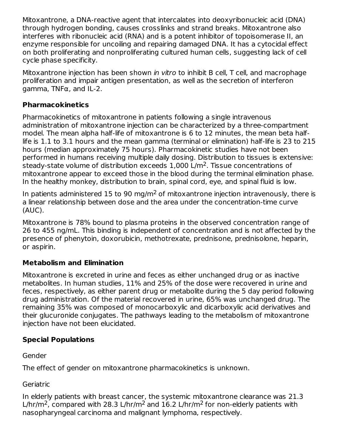Mitoxantrone, a DNA-reactive agent that intercalates into deoxyribonucleic acid (DNA) through hydrogen bonding, causes crosslinks and strand breaks. Mitoxantrone also interferes with ribonucleic acid (RNA) and is a potent inhibitor of topoisomerase II, an enzyme responsible for uncoiling and repairing damaged DNA. It has a cytocidal effect on both proliferating and nonproliferating cultured human cells, suggesting lack of cell cycle phase specificity.

Mitoxantrone injection has been shown in vitro to inhibit B cell, T cell, and macrophage proliferation and impair antigen presentation, as well as the secretion of interferon gamma, TNFα, and IL-2.

### **Pharmacokinetics**

Pharmacokinetics of mitoxantrone in patients following a single intravenous administration of mitoxantrone injection can be characterized by a three-compartment model. The mean alpha half-life of mitoxantrone is 6 to 12 minutes, the mean beta halflife is 1.1 to 3.1 hours and the mean gamma (terminal or elimination) half-life is 23 to 215 hours (median approximately 75 hours). Pharmacokinetic studies have not been performed in humans receiving multiple daily dosing. Distribution to tissues is extensive: steady-state volume of distribution exceeds  $1,\!000$  L/m<sup>2</sup>. Tissue concentrations of mitoxantrone appear to exceed those in the blood during the terminal elimination phase. In the healthy monkey, distribution to brain, spinal cord, eye, and spinal fluid is low.

In patients administered 15 to 90 mg/m<sup>2</sup> of mitoxantrone injection intravenously, there is a linear relationship between dose and the area under the concentration-time curve (AUC).

Mitoxantrone is 78% bound to plasma proteins in the observed concentration range of 26 to 455 ng/mL. This binding is independent of concentration and is not affected by the presence of phenytoin, doxorubicin, methotrexate, prednisone, prednisolone, heparin, or aspirin.

## **Metabolism and Elimination**

Mitoxantrone is excreted in urine and feces as either unchanged drug or as inactive metabolites. In human studies, 11% and 25% of the dose were recovered in urine and feces, respectively, as either parent drug or metabolite during the 5 day period following drug administration. Of the material recovered in urine, 65% was unchanged drug. The remaining 35% was composed of monocarboxylic and dicarboxylic acid derivatives and their glucuronide conjugates. The pathways leading to the metabolism of mitoxantrone injection have not been elucidated.

## **Special Populations**

Gender

The effect of gender on mitoxantrone pharmacokinetics is unknown.

**Geriatric** 

In elderly patients with breast cancer, the systemic mitoxantrone clearance was 21.3 L/hr/m<sup>2</sup>, compared with 28.3 L/hr/m<sup>2</sup> and 16.2 L/hr/m<sup>2</sup> for non-elderly patients with nasopharyngeal carcinoma and malignant lymphoma, respectively.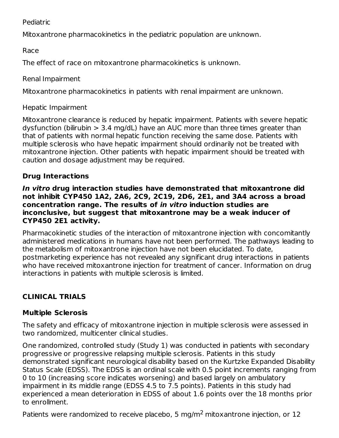Pediatric

Mitoxantrone pharmacokinetics in the pediatric population are unknown.

Race

The effect of race on mitoxantrone pharmacokinetics is unknown.

Renal Impairment

Mitoxantrone pharmacokinetics in patients with renal impairment are unknown.

Hepatic Impairment

Mitoxantrone clearance is reduced by hepatic impairment. Patients with severe hepatic dysfunction (bilirubin > 3.4 mg/dL) have an AUC more than three times greater than that of patients with normal hepatic function receiving the same dose. Patients with multiple sclerosis who have hepatic impairment should ordinarily not be treated with mitoxantrone injection. Other patients with hepatic impairment should be treated with caution and dosage adjustment may be required.

## **Drug Interactions**

**In vitro drug interaction studies have demonstrated that mitoxantrone did not inhibit CYP450 1A2, 2A6, 2C9, 2C19, 2D6, 2E1, and 3A4 across a broad concentration range. The results of in vitro induction studies are inconclusive, but suggest that mitoxantrone may be a weak inducer of CYP450 2E1 activity.**

Pharmacokinetic studies of the interaction of mitoxantrone injection with concomitantly administered medications in humans have not been performed. The pathways leading to the metabolism of mitoxantrone injection have not been elucidated. To date, postmarketing experience has not revealed any significant drug interactions in patients who have received mitoxantrone injection for treatment of cancer. Information on drug interactions in patients with multiple sclerosis is limited.

# **CLINICAL TRIALS**

## **Multiple Sclerosis**

The safety and efficacy of mitoxantrone injection in multiple sclerosis were assessed in two randomized, multicenter clinical studies.

One randomized, controlled study (Study 1) was conducted in patients with secondary progressive or progressive relapsing multiple sclerosis. Patients in this study demonstrated significant neurological disability based on the Kurtzke Expanded Disability Status Scale (EDSS). The EDSS is an ordinal scale with 0.5 point increments ranging from 0 to 10 (increasing score indicates worsening) and based largely on ambulatory impairment in its middle range (EDSS 4.5 to 7.5 points). Patients in this study had experienced a mean deterioration in EDSS of about 1.6 points over the 18 months prior to enrollment.

Patients were randomized to receive placebo, 5 mg/m<sup>2</sup> mitoxantrone injection, or 12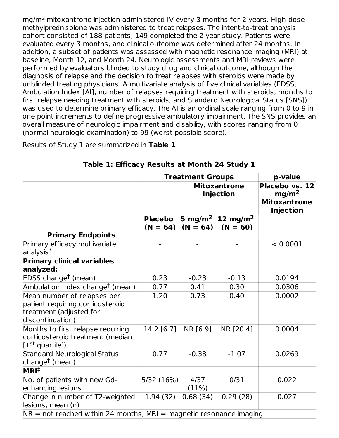mg/m<sup>2</sup> mitoxantrone injection administered IV every 3 months for 2 years. High-dose methylprednisolone was administered to treat relapses. The intent-to-treat analysis cohort consisted of 188 patients; 149 completed the 2 year study. Patients were evaluated every 3 months, and clinical outcome was determined after 24 months. In addition, a subset of patients was assessed with magnetic resonance imaging (MRI) at baseline, Month 12, and Month 24. Neurologic assessments and MRI reviews were performed by evaluators blinded to study drug and clinical outcome, although the diagnosis of relapse and the decision to treat relapses with steroids were made by unblinded treating physicians. A multivariate analysis of five clinical variables (EDSS, Ambulation Index [AI], number of relapses requiring treatment with steroids, months to first relapse needing treatment with steroids, and Standard Neurological Status [SNS]) was used to determine primary efficacy. The AI is an ordinal scale ranging from 0 to 9 in one point increments to define progressive ambulatory impairment. The SNS provides an overall measure of neurologic impairment and disability, with scores ranging from 0 (normal neurologic examination) to 99 (worst possible score).

Results of Study 1 are summarized in **Table 1**.

|                                                                                                                | <b>Treatment Groups</b>      | p-value                                 |                                    |                                                                                |
|----------------------------------------------------------------------------------------------------------------|------------------------------|-----------------------------------------|------------------------------------|--------------------------------------------------------------------------------|
|                                                                                                                |                              | <b>Mitoxantrone</b><br><b>Injection</b> |                                    | Placebo vs. 12<br>mg/m <sup>2</sup><br><b>Mitoxantrone</b><br><b>Injection</b> |
| <b>Primary Endpoints</b>                                                                                       | <b>Placebo</b><br>$(N = 64)$ | 5 mg/m <sup>2</sup><br>$(N = 64)$       | 12 mg/m <sup>2</sup><br>$(N = 60)$ |                                                                                |
| Primary efficacy multivariate<br>$analysis*$                                                                   |                              |                                         |                                    | < 0.0001                                                                       |
| <b>Primary clinical variables</b><br>analyzed:                                                                 |                              |                                         |                                    |                                                                                |
| EDSS change <sup>†</sup> (mean)                                                                                | 0.23                         | $-0.23$                                 | $-0.13$                            | 0.0194                                                                         |
| Ambulation Index change <sup>†</sup> (mean)                                                                    | 0.77                         | 0.41                                    | 0.30                               | 0.0306                                                                         |
| Mean number of relapses per<br>patient requiring corticosteroid<br>treatment (adjusted for<br>discontinuation) | 1.20                         | 0.73                                    | 0.40                               | 0.0002                                                                         |
| Months to first relapse requiring<br>corticosteroid treatment (median<br>$[1st$ quartile])                     | 14.2 [6.7]                   | NR [6.9]                                | NR [20.4]                          | 0.0004                                                                         |
| <b>Standard Neurological Status</b><br>change <sup>†</sup> (mean)                                              | 0.77                         | $-0.38$                                 | $-1.07$                            | 0.0269                                                                         |
| MRI <sup>†</sup>                                                                                               |                              |                                         |                                    |                                                                                |
| No. of patients with new Gd-<br>enhancing lesions                                                              | 5/32 (16%)                   | 4/37<br>(11%)                           | 0/31                               | 0.022                                                                          |
| Change in number of T2-weighted<br>lesions, mean (n)                                                           | 1.94(32)                     | 0.68(34)                                | 0.29(28)                           | 0.027                                                                          |
| $NR = not reached$ within 24 months; MRI = magnetic resonance imaging.                                         |                              |                                         |                                    |                                                                                |

**Table 1: Efficacy Results at Month 24 Study 1**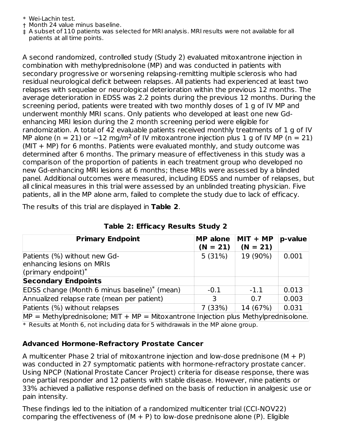- \* Wei-Lachin test.
- † Month 24 value minus baseline.
- ‡ A subset of 110 patients was selected for MRI analysis. MRI results were not available for all patients at all time points.

A second randomized, controlled study (Study 2) evaluated mitoxantrone injection in combination with methylprednisolone (MP) and was conducted in patients with secondary progressive or worsening relapsing-remitting multiple sclerosis who had residual neurological deficit between relapses. All patients had experienced at least two relapses with sequelae or neurological deterioration within the previous 12 months. The average deterioration in EDSS was 2.2 points during the previous 12 months. During the screening period, patients were treated with two monthly doses of 1 g of IV MP and underwent monthly MRI scans. Only patients who developed at least one new Gdenhancing MRI lesion during the 2 month screening period were eligible for randomization. A total of 42 evaluable patients received monthly treatments of 1 g of IV MP alone (n = 21) or  $\sim$ 12 mg/m<sup>2</sup> of IV mitoxantrone injection plus 1 g of IV MP (n = 21) (MIT + MP) for 6 months. Patients were evaluated monthly, and study outcome was determined after 6 months. The primary measure of effectiveness in this study was a comparison of the proportion of patients in each treatment group who developed no new Gd-enhancing MRI lesions at 6 months; these MRIs were assessed by a blinded panel. Additional outcomes were measured, including EDSS and number of relapses, but all clinical measures in this trial were assessed by an unblinded treating physician. Five patients, all in the MP alone arm, failed to complete the study due to lack of efficacy.

The results of this trial are displayed in **Table 2**.

| <b>Primary Endpoint</b>                                                                | <b>MP</b> alone<br>$(N = 21)$ | $MIT + MP$<br>$(N = 21)$ | p-value |
|----------------------------------------------------------------------------------------|-------------------------------|--------------------------|---------|
| Patients (%) without new Gd-<br>enhancing lesions on MRIs<br>(primary endpoint) $*$    | 5(31%)                        | 19 (90%)                 | 0.001   |
| <b>Secondary Endpoints</b>                                                             |                               |                          |         |
| EDSS change (Month 6 minus baseline) <sup>*</sup> (mean)                               | $-0.1$                        | $-1.1$                   | 0.013   |
| Annualized relapse rate (mean per patient)                                             | 3                             | 0.7                      | 0.003   |
| Patients (%) without relapses                                                          | 7(33%)                        | 14 (67%)                 | 0.031   |
| $MP = Methylprednisolone$ ; MIT + MP = Mitoxantrone Injection plus Methylprednisolone. |                               |                          |         |

**Table 2: Efficacy Results Study 2**

\* Results at Month 6, not including data for 5 withdrawals in the MP alone group.

### **Advanced Hormone-Refractory Prostate Cancer**

A multicenter Phase 2 trial of mitoxantrone injection and low-dose prednisone  $(M + P)$ was conducted in 27 symptomatic patients with hormone-refractory prostate cancer. Using NPCP (National Prostate Cancer Project) criteria for disease response, there was one partial responder and 12 patients with stable disease. However, nine patients or 33% achieved a palliative response defined on the basis of reduction in analgesic use or pain intensity.

These findings led to the initiation of a randomized multicenter trial (CCI-NOV22) comparing the effectiveness of  $(M + P)$  to low-dose prednisone alone  $(P)$ . Eligible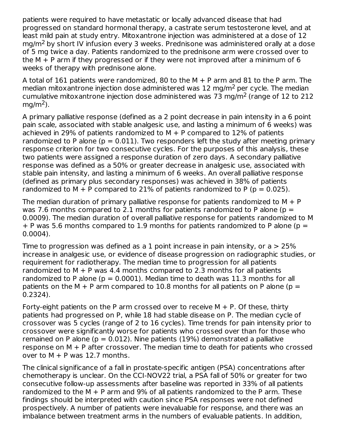patients were required to have metastatic or locally advanced disease that had progressed on standard hormonal therapy, a castrate serum testosterone level, and at least mild pain at study entry. Mitoxantrone injection was administered at a dose of 12 mg/m<sup>2</sup> by short IV infusion every 3 weeks. Prednisone was administered orally at a dose of 5 mg twice a day. Patients randomized to the prednisone arm were crossed over to the  $M + P$  arm if they progressed or if they were not improved after a minimum of 6 weeks of therapy with prednisone alone.

A total of 161 patients were randomized, 80 to the  $M + P$  arm and 81 to the P arm. The median mitoxantrone injection dose administered was 12 mg/m<sup>2</sup> per cycle. The median cumulative mitoxantrone injection dose administered was 73 mg/m<sup>2</sup> (range of 12 to 212  $mg/m<sup>2</sup>$ ).

A primary palliative response (defined as a 2 point decrease in pain intensity in a 6 point pain scale, associated with stable analgesic use, and lasting a minimum of 6 weeks) was achieved in 29% of patients randomized to  $M + P$  compared to 12% of patients randomized to P alone ( $p = 0.011$ ). Two responders left the study after meeting primary response criterion for two consecutive cycles. For the purposes of this analysis, these two patients were assigned a response duration of zero days. A secondary palliative response was defined as a 50% or greater decrease in analgesic use, associated with stable pain intensity, and lasting a minimum of 6 weeks. An overall palliative response (defined as primary plus secondary responses) was achieved in 38% of patients randomized to  $M + P$  compared to 21% of patients randomized to P ( $p = 0.025$ ).

The median duration of primary palliative response for patients randomized to  $M + P$ was 7.6 months compared to 2.1 months for patients randomized to P alone ( $p =$ 0.0009). The median duration of overall palliative response for patients randomized to M  $+$  P was 5.6 months compared to 1.9 months for patients randomized to P alone (p = 0.0004).

Time to progression was defined as a 1 point increase in pain intensity, or a  $>$  25% increase in analgesic use, or evidence of disease progression on radiographic studies, or requirement for radiotherapy. The median time to progression for all patients randomized to  $M + P$  was 4.4 months compared to 2.3 months for all patients randomized to P alone ( $p = 0.0001$ ). Median time to death was 11.3 months for all patients on the M + P arm compared to 10.8 months for all patients on P alone ( $p =$ 0.2324).

Forty-eight patients on the P arm crossed over to receive  $M + P$ . Of these, thirty patients had progressed on P, while 18 had stable disease on P. The median cycle of crossover was 5 cycles (range of 2 to 16 cycles). Time trends for pain intensity prior to crossover were significantly worse for patients who crossed over than for those who remained on P alone ( $p = 0.012$ ). Nine patients (19%) demonstrated a palliative response on M + P after crossover. The median time to death for patients who crossed over to  $M + P$  was 12.7 months.

The clinical significance of a fall in prostate-specific antigen (PSA) concentrations after chemotherapy is unclear. On the CCI-NOV22 trial, a PSA fall of 50% or greater for two consecutive follow-up assessments after baseline was reported in 33% of all patients randomized to the  $M + P$  arm and 9% of all patients randomized to the P arm. These findings should be interpreted with caution since PSA responses were not defined prospectively. A number of patients were inevaluable for response, and there was an imbalance between treatment arms in the numbers of evaluable patients. In addition,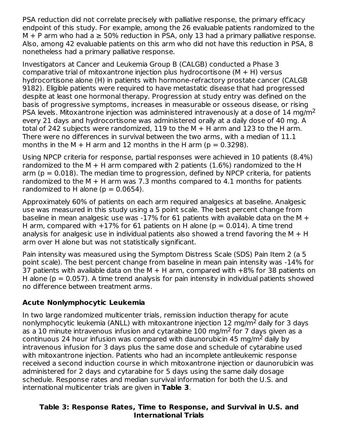PSA reduction did not correlate precisely with palliative response, the primary efficacy endpoint of this study. For example, among the 26 evaluable patients randomized to the  $M + P$  arm who had a  $\geq 50\%$  reduction in PSA, only 13 had a primary palliative response. Also, among 42 evaluable patients on this arm who did not have this reduction in PSA, 8 nonetheless had a primary palliative response.

Investigators at Cancer and Leukemia Group B (CALGB) conducted a Phase 3 comparative trial of mitoxantrone injection plus hydrocortisone  $(M + H)$  versus hydrocortisone alone (H) in patients with hormone-refractory prostate cancer (CALGB 9182). Eligible patients were required to have metastatic disease that had progressed despite at least one hormonal therapy. Progression at study entry was defined on the basis of progressive symptoms, increases in measurable or osseous disease, or rising PSA levels. Mitoxantrone injection was administered intravenously at a dose of 14 mg/m<sup>2</sup> every 21 days and hydrocortisone was administered orally at a daily dose of 40 mg. A total of 242 subjects were randomized, 119 to the M + H arm and 123 to the H arm. There were no differences in survival between the two arms, with a median of 11.1 months in the M  $+$  H arm and 12 months in the H arm ( $p = 0.3298$ ).

Using NPCP criteria for response, partial responses were achieved in 10 patients (8.4%) randomized to the M  $+$  H arm compared with 2 patients (1.6%) randomized to the H arm ( $p = 0.018$ ). The median time to progression, defined by NPCP criteria, for patients randomized to the  $M + H$  arm was 7.3 months compared to 4.1 months for patients randomized to H alone ( $p = 0.0654$ ).

Approximately 60% of patients on each arm required analgesics at baseline. Analgesic use was measured in this study using a 5 point scale. The best percent change from baseline in mean analgesic use was -17% for 61 patients with available data on the M  $+$ H arm, compared with  $+17\%$  for 61 patients on H alone (p = 0.014). A time trend analysis for analgesic use in individual patients also showed a trend favoring the  $M + H$ arm over H alone but was not statistically significant.

Pain intensity was measured using the Symptom Distress Scale (SDS) Pain Item 2 (a 5 point scale). The best percent change from baseline in mean pain intensity was -14% for 37 patients with available data on the M  $+$  H arm, compared with  $+8\%$  for 38 patients on H alone ( $p = 0.057$ ). A time trend analysis for pain intensity in individual patients showed no difference between treatment arms.

### **Acute Nonlymphocytic Leukemia**

In two large randomized multicenter trials, remission induction therapy for acute nonlymphocytic leukemia (ANLL) with mitoxantrone injection 12 mg/m<sup>2</sup> daily for 3 days as a 10 minute intravenous infusion and cytarabine  $100$  mg/m<sup>2</sup> for 7 days given as a continuous 24 hour infusion was compared with daunorubicin 45 mg/m<sup>2</sup> daily by intravenous infusion for 3 days plus the same dose and schedule of cytarabine used with mitoxantrone injection. Patients who had an incomplete antileukemic response received a second induction course in which mitoxantrone injection or daunorubicin was administered for 2 days and cytarabine for 5 days using the same daily dosage schedule. Response rates and median survival information for both the U.S. and international multicenter trials are given in **Table 3**.

### **Table 3: Response Rates, Time to Response, and Survival in U.S. and International Trials**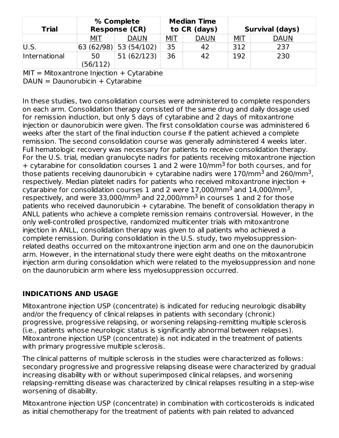| <b>Trial</b>                                | % Complete<br><b>Response (CR)</b> |                         |            | <b>Median Time</b><br>to CR (days) |            | <b>Survival (days)</b> |
|---------------------------------------------|------------------------------------|-------------------------|------------|------------------------------------|------------|------------------------|
|                                             | MIT                                | <b>DAUN</b>             | <u>MIT</u> | <b>DAUN</b>                        | <u>MIT</u> | <b>DAUN</b>            |
| U.S.                                        |                                    | 63 (62/98)  53 (54/102) | 35         | 42                                 | 312        | 237                    |
| International                               | 50<br>(56/112)                     | 51(62/123)              | 36         | 42                                 | 192        | 230                    |
| $MIT = Mitoxantrone Injection + Cytarabine$ |                                    |                         |            |                                    |            |                        |
| $D A UN = D aunorubicin + Cytarabine$       |                                    |                         |            |                                    |            |                        |

In these studies, two consolidation courses were administered to complete responders on each arm. Consolidation therapy consisted of the same drug and daily dosage used for remission induction, but only 5 days of cytarabine and 2 days of mitoxantrone injection or daunorubicin were given. The first consolidation course was administered 6 weeks after the start of the final induction course if the patient achieved a complete remission. The second consolidation course was generally administered 4 weeks later. Full hematologic recovery was necessary for patients to receive consolidation therapy. For the U.S. trial, median granulocyte nadirs for patients receiving mitoxantrone injection + cytarabine for consolidation courses 1 and 2 were 10/mm<sup>3</sup> for both courses, and for those patients receiving daunorubicin + cytarabine nadirs were  $170/\mathrm{mm}^3$  and 260/mm $^3$ , respectively. Median platelet nadirs for patients who received mitoxantrone injection + cytarabine for consolidation courses  $1$  and  $2$  were  $17,000/\mathrm{mm}^3$  and  $14,000/\mathrm{mm}^3$ , respectively, and were 33,000/mm<sup>3</sup> and 22,000/mm<sup>3</sup> in courses 1 and 2 for those patients who received daunorubicin  $+$  cytarabine. The benefit of consolidation therapy in ANLL patients who achieve a complete remission remains controversial. However, in the only well-controlled prospective, randomized multicenter trials with mitoxantrone injection in ANLL, consolidation therapy was given to all patients who achieved a complete remission. During consolidation in the U.S. study, two myelosuppressionrelated deaths occurred on the mitoxantrone injection arm and one on the daunorubicin arm. However, in the international study there were eight deaths on the mitoxantrone injection arm during consolidation which were related to the myelosuppression and none on the daunorubicin arm where less myelosuppression occurred.

### **INDICATIONS AND USAGE**

Mitoxantrone injection USP (concentrate) is indicated for reducing neurologic disability and/or the frequency of clinical relapses in patients with secondary (chronic) progressive, progressive relapsing, or worsening relapsing-remitting multiple sclerosis (i.e., patients whose neurologic status is significantly abnormal between relapses). Mitoxantrone injection USP (concentrate) is not indicated in the treatment of patients with primary progressive multiple sclerosis.

The clinical patterns of multiple sclerosis in the studies were characterized as follows: secondary progressive and progressive relapsing disease were characterized by gradual increasing disability with or without superimposed clinical relapses, and worsening relapsing-remitting disease was characterized by clinical relapses resulting in a step-wise worsening of disability.

Mitoxantrone injection USP (concentrate) in combination with corticosteroids is indicated as initial chemotherapy for the treatment of patients with pain related to advanced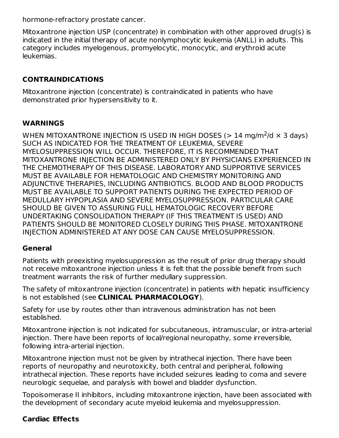hormone-refractory prostate cancer.

Mitoxantrone injection USP (concentrate) in combination with other approved drug(s) is indicated in the initial therapy of acute nonlymphocytic leukemia (ANLL) in adults. This category includes myelogenous, promyelocytic, monocytic, and erythroid acute leukemias.

## **CONTRAINDICATIONS**

Mitoxantrone injection (concentrate) is contraindicated in patients who have demonstrated prior hypersensitivity to it.

### **WARNINGS**

WHEN MITOXANTRONE INJECTION IS USED IN HIGH DOSES (> 14 mg/m<sup>2</sup>/d  $\times$  3 days) SUCH AS INDICATED FOR THE TREATMENT OF LEUKEMIA, SEVERE MYELOSUPPRESSION WILL OCCUR. THEREFORE, IT IS RECOMMENDED THAT MITOXANTRONE INJECTION BE ADMINISTERED ONLY BY PHYSICIANS EXPERIENCED IN THE CHEMOTHERAPY OF THIS DISEASE. LABORATORY AND SUPPORTIVE SERVICES MUST BE AVAILABLE FOR HEMATOLOGIC AND CHEMISTRY MONITORING AND ADJUNCTIVE THERAPIES, INCLUDING ANTIBIOTICS. BLOOD AND BLOOD PRODUCTS MUST BE AVAILABLE TO SUPPORT PATIENTS DURING THE EXPECTED PERIOD OF MEDULLARY HYPOPLASIA AND SEVERE MYELOSUPPRESSION. PARTICULAR CARE SHOULD BE GIVEN TO ASSURING FULL HEMATOLOGIC RECOVERY BEFORE UNDERTAKING CONSOLIDATION THERAPY (IF THIS TREATMENT IS USED) AND PATIENTS SHOULD BE MONITORED CLOSELY DURING THIS PHASE. MITOXANTRONE INJECTION ADMINISTERED AT ANY DOSE CAN CAUSE MYELOSUPPRESSION.

### **General**

Patients with preexisting myelosuppression as the result of prior drug therapy should not receive mitoxantrone injection unless it is felt that the possible benefit from such treatment warrants the risk of further medullary suppression.

The safety of mitoxantrone injection (concentrate) in patients with hepatic insufficiency is not established (see **CLINICAL PHARMACOLOGY**).

Safety for use by routes other than intravenous administration has not been established.

Mitoxantrone injection is not indicated for subcutaneous, intramuscular, or intra-arterial injection. There have been reports of local/regional neuropathy, some irreversible, following intra-arterial injection.

Mitoxantrone injection must not be given by intrathecal injection. There have been reports of neuropathy and neurotoxicity, both central and peripheral, following intrathecal injection. These reports have included seizures leading to coma and severe neurologic sequelae, and paralysis with bowel and bladder dysfunction.

Topoisomerase II inhibitors, including mitoxantrone injection, have been associated with the development of secondary acute myeloid leukemia and myelosuppression.

### **Cardiac Effects**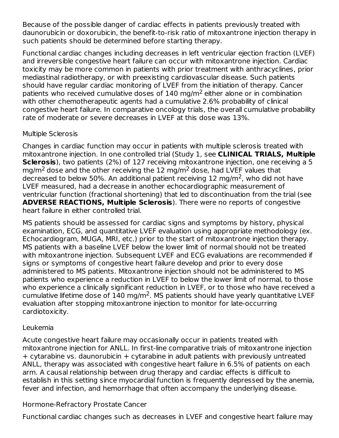Because of the possible danger of cardiac effects in patients previously treated with daunorubicin or doxorubicin, the benefit-to-risk ratio of mitoxantrone injection therapy in such patients should be determined before starting therapy.

Functional cardiac changes including decreases in left ventricular ejection fraction (LVEF) and irreversible congestive heart failure can occur with mitoxantrone injection. Cardiac toxicity may be more common in patients with prior treatment with anthracyclines, prior mediastinal radiotherapy, or with preexisting cardiovascular disease. Such patients should have regular cardiac monitoring of LVEF from the initiation of therapy. Cancer patients who received cumulative doses of 140 mg/m<sup>2</sup> either alone or in combination with other chemotherapeutic agents had a cumulative 2.6% probability of clinical congestive heart failure. In comparative oncology trials, the overall cumulative probability rate of moderate or severe decreases in LVEF at this dose was 13%.

#### Multiple Sclerosis

Changes in cardiac function may occur in patients with multiple sclerosis treated with mitoxantrone injection. In one controlled trial (Study 1, see **CLINICAL TRIALS, Multiple Sclerosis**), two patients (2%) of 127 receiving mitoxantrone injection, one receiving a 5 mg/m<sup>2</sup> dose and the other receiving the 12 mg/m<sup>2</sup> dose, had LVEF values that decreased to below 50%. An additional patient receiving 12 mg/m<sup>2</sup>, who did not have LVEF measured, had a decrease in another echocardiographic measurement of ventricular function (fractional shortening) that led to discontinuation from the trial (see **ADVERSE REACTIONS, Multiple Sclerosis**). There were no reports of congestive heart failure in either controlled trial.

MS patients should be assessed for cardiac signs and symptoms by history, physical examination, ECG, and quantitative LVEF evaluation using appropriate methodology (ex. Echocardiogram, MUGA, MRI, etc.) prior to the start of mitoxantrone injection therapy. MS patients with a baseline LVEF below the lower limit of normal should not be treated with mitoxantrone injection. Subsequent LVEF and ECG evaluations are recommended if signs or symptoms of congestive heart failure develop and prior to every dose administered to MS patients. Mitoxantrone injection should not be administered to MS patients who experience a reduction in LVEF to below the lower limit of normal, to those who experience a clinically significant reduction in LVEF, or to those who have received a cumulative lifetime dose of  $140 \text{ mg/m}^2$ . MS patients should have yearly quantitative LVEF evaluation after stopping mitoxantrone injection to monitor for late-occurring cardiotoxicity.

### Leukemia

Acute congestive heart failure may occasionally occur in patients treated with mitoxantrone injection for ANLL. In first-line comparative trials of mitoxantrone injection + cytarabine vs. daunorubicin + cytarabine in adult patients with previously untreated ANLL, therapy was associated with congestive heart failure in 6.5% of patients on each arm. A causal relationship between drug therapy and cardiac effects is difficult to establish in this setting since myocardial function is frequently depressed by the anemia, fever and infection, and hemorrhage that often accompany the underlying disease.

### Hormone-Refractory Prostate Cancer

Functional cardiac changes such as decreases in LVEF and congestive heart failure may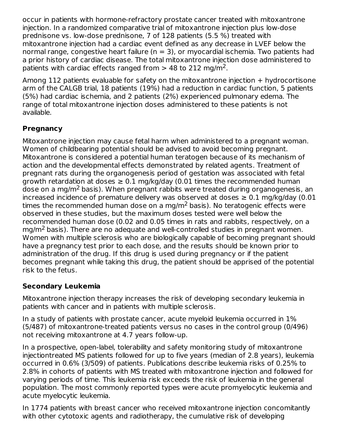occur in patients with hormone-refractory prostate cancer treated with mitoxantrone injection. In a randomized comparative trial of mitoxantrone injection plus low-dose prednisone vs. low-dose prednisone, 7 of 128 patients (5.5 %) treated with mitoxantrone injection had a cardiac event defined as any decrease in LVEF below the normal range, congestive heart failure ( $n = 3$ ), or myocardial ischemia. Two patients had a prior history of cardiac disease. The total mitoxantrone injection dose administered to patients with cardiac effects ranged from  $>$  48 to 212 mg/m<sup>2</sup>.

Among 112 patients evaluable for safety on the mitoxantrone injection + hydrocortisone arm of the CALGB trial, 18 patients (19%) had a reduction in cardiac function, 5 patients (5%) had cardiac ischemia, and 2 patients (2%) experienced pulmonary edema. The range of total mitoxantrone injection doses administered to these patients is not available.

## **Pregnancy**

Mitoxantrone injection may cause fetal harm when administered to a pregnant woman. Women of childbearing potential should be advised to avoid becoming pregnant. Mitoxantrone is considered a potential human teratogen because of its mechanism of action and the developmental effects demonstrated by related agents. Treatment of pregnant rats during the organogenesis period of gestation was associated with fetal growth retardation at doses  $\geq 0.1$  mg/kg/day (0.01 times the recommended human dose on a mg/m<sup>2</sup> basis). When pregnant rabbits were treated during organogenesis, an increased incidence of premature delivery was observed at doses  $\geq 0.1$  mg/kg/day (0.01 times the recommended human dose on a mg/m<sup>2</sup> basis). No teratogenic effects were observed in these studies, but the maximum doses tested were well below the recommended human dose (0.02 and 0.05 times in rats and rabbits, respectively, on a mg/m<sup>2</sup> basis). There are no adequate and well-controlled studies in pregnant women. Women with multiple sclerosis who are biologically capable of becoming pregnant should have a pregnancy test prior to each dose, and the results should be known prior to administration of the drug. If this drug is used during pregnancy or if the patient becomes pregnant while taking this drug, the patient should be apprised of the potential risk to the fetus.

## **Secondary Leukemia**

Mitoxantrone injection therapy increases the risk of developing secondary leukemia in patients with cancer and in patients with multiple sclerosis.

In a study of patients with prostate cancer, acute myeloid leukemia occurred in 1% (5/487) of mitoxantrone-treated patients versus no cases in the control group (0/496) not receiving mitoxantrone at 4.7 years follow-up.

In a prospective, open-label, tolerability and safety monitoring study of mitoxantrone injectiontreated MS patients followed for up to five years (median of 2.8 years), leukemia occurred in 0.6% (3/509) of patients. Publications describe leukemia risks of 0.25% to 2.8% in cohorts of patients with MS treated with mitoxantrone injection and followed for varying periods of time. This leukemia risk exceeds the risk of leukemia in the general population. The most commonly reported types were acute promyelocytic leukemia and acute myelocytic leukemia.

In 1774 patients with breast cancer who received mitoxantrone injection concomitantly with other cytotoxic agents and radiotherapy, the cumulative risk of developing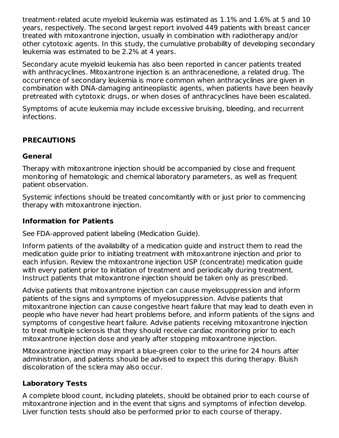treatment-related acute myeloid leukemia was estimated as 1.1% and 1.6% at 5 and 10 years, respectively. The second largest report involved 449 patients with breast cancer treated with mitoxantrone injection, usually in combination with radiotherapy and/or other cytotoxic agents. In this study, the cumulative probability of developing secondary leukemia was estimated to be 2.2% at 4 years.

Secondary acute myeloid leukemia has also been reported in cancer patients treated with anthracyclines. Mitoxantrone injection is an anthracenedione, a related drug. The occurrence of secondary leukemia is more common when anthracyclines are given in combination with DNA-damaging antineoplastic agents, when patients have been heavily pretreated with cytotoxic drugs, or when doses of anthracyclines have been escalated.

Symptoms of acute leukemia may include excessive bruising, bleeding, and recurrent infections.

### **PRECAUTIONS**

#### **General**

Therapy with mitoxantrone injection should be accompanied by close and frequent monitoring of hematologic and chemical laboratory parameters, as well as frequent patient observation.

Systemic infections should be treated concomitantly with or just prior to commencing therapy with mitoxantrone injection.

### **Information for Patients**

See FDA-approved patient labeling (Medication Guide).

Inform patients of the availability of a medication guide and instruct them to read the medication guide prior to initiating treatment with mitoxantrone injection and prior to each infusion. Review the mitoxantrone injection USP (concentrate) medication guide with every patient prior to initiation of treatment and periodically during treatment. Instruct patients that mitoxantrone injection should be taken only as prescribed.

Advise patients that mitoxantrone injection can cause myelosuppression and inform patients of the signs and symptoms of myelosuppression. Advise patients that mitoxantrone injection can cause congestive heart failure that may lead to death even in people who have never had heart problems before, and inform patients of the signs and symptoms of congestive heart failure. Advise patients receiving mitoxantrone injection to treat multiple sclerosis that they should receive cardiac monitoring prior to each mitoxantrone injection dose and yearly after stopping mitoxantrone injection.

Mitoxantrone injection may impart a blue-green color to the urine for 24 hours after administration, and patients should be advised to expect this during therapy. Bluish discoloration of the sclera may also occur.

### **Laboratory Tests**

A complete blood count, including platelets, should be obtained prior to each course of mitoxantrone injection and in the event that signs and symptoms of infection develop. Liver function tests should also be performed prior to each course of therapy.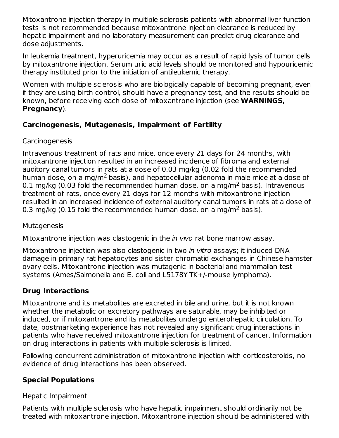Mitoxantrone injection therapy in multiple sclerosis patients with abnormal liver function tests is not recommended because mitoxantrone injection clearance is reduced by hepatic impairment and no laboratory measurement can predict drug clearance and dose adjustments.

In leukemia treatment, hyperuricemia may occur as a result of rapid lysis of tumor cells by mitoxantrone injection. Serum uric acid levels should be monitored and hypouricemic therapy instituted prior to the initiation of antileukemic therapy.

Women with multiple sclerosis who are biologically capable of becoming pregnant, even if they are using birth control, should have a pregnancy test, and the results should be known, before receiving each dose of mitoxantrone injection (see **WARNINGS, Pregnancy**).

## **Carcinogenesis, Mutagenesis, Impairment of Fertility**

## Carcinogenesis

Intravenous treatment of rats and mice, once every 21 days for 24 months, with mitoxantrone injection resulted in an increased incidence of fibroma and external auditory canal tumors in rats at a dose of 0.03 mg/kg (0.02 fold the recommended human dose, on a mg/m $^2$  basis), and hepatocellular adenoma in male mice at a dose of 0.1 mg/kg (0.03 fold the recommended human dose, on a mg/m<sup>2</sup> basis). Intravenous treatment of rats, once every 21 days for 12 months with mitoxantrone injection resulted in an increased incidence of external auditory canal tumors in rats at a dose of 0.3 mg/kg (0.15 fold the recommended human dose, on a mg/m<sup>2</sup> basis).

### **Mutagenesis**

Mitoxantrone injection was clastogenic in the *in vivo* rat bone marrow assay.

Mitoxantrone injection was also clastogenic in two in vitro assays; it induced DNA damage in primary rat hepatocytes and sister chromatid exchanges in Chinese hamster ovary cells. Mitoxantrone injection was mutagenic in bacterial and mammalian test systems (Ames/Salmonella and E. coli and L5178Y TK+/-mouse lymphoma).

## **Drug Interactions**

Mitoxantrone and its metabolites are excreted in bile and urine, but it is not known whether the metabolic or excretory pathways are saturable, may be inhibited or induced, or if mitoxantrone and its metabolites undergo enterohepatic circulation. To date, postmarketing experience has not revealed any significant drug interactions in patients who have received mitoxantrone injection for treatment of cancer. Information on drug interactions in patients with multiple sclerosis is limited.

Following concurrent administration of mitoxantrone injection with corticosteroids, no evidence of drug interactions has been observed.

# **Special Populations**

### Hepatic Impairment

Patients with multiple sclerosis who have hepatic impairment should ordinarily not be treated with mitoxantrone injection. Mitoxantrone injection should be administered with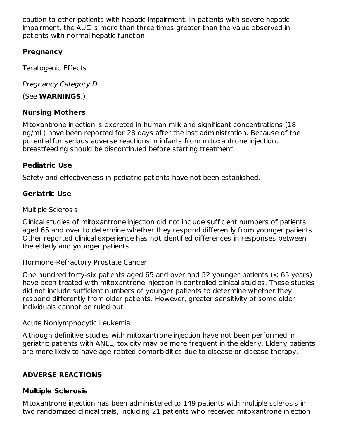caution to other patients with hepatic impairment. In patients with severe hepatic impairment, the AUC is more than three times greater than the value observed in patients with normal hepatic function.

## **Pregnancy**

Teratogenic Effects

Pregnancy Category D

(See **WARNINGS**.)

## **Nursing Mothers**

Mitoxantrone injection is excreted in human milk and significant concentrations (18 ng/mL) have been reported for 28 days after the last administration. Because of the potential for serious adverse reactions in infants from mitoxantrone injection, breastfeeding should be discontinued before starting treatment.

## **Pediatric Use**

Safety and effectiveness in pediatric patients have not been established.

## **Geriatric Use**

Multiple Sclerosis

Clinical studies of mitoxantrone injection did not include sufficient numbers of patients aged 65 and over to determine whether they respond differently from younger patients. Other reported clinical experience has not identified differences in responses between the elderly and younger patients.

Hormone-Refractory Prostate Cancer

One hundred forty-six patients aged 65 and over and 52 younger patients (< 65 years) have been treated with mitoxantrone injection in controlled clinical studies. These studies did not include sufficient numbers of younger patients to determine whether they respond differently from older patients. However, greater sensitivity of some older individuals cannot be ruled out.

### Acute Nonlymphocytic Leukemia

Although definitive studies with mitoxantrone injection have not been performed in geriatric patients with ANLL, toxicity may be more frequent in the elderly. Elderly patients are more likely to have age-related comorbidities due to disease or disease therapy.

# **ADVERSE REACTIONS**

### **Multiple Sclerosis**

Mitoxantrone injection has been administered to 149 patients with multiple sclerosis in two randomized clinical trials, including 21 patients who received mitoxantrone injection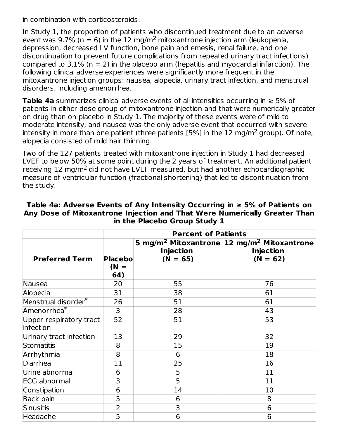in combination with corticosteroids.

In Study 1, the proportion of patients who discontinued treatment due to an adverse event was 9.7% ( $n = 6$ ) in the 12 mg/m<sup>2</sup> mitoxantrone injection arm (leukopenia, depression, decreased LV function, bone pain and emesis, renal failure, and one discontinuation to prevent future complications from repeated urinary tract infections) compared to  $3.1\%$  (n = 2) in the placebo arm (hepatitis and myocardial infarction). The following clinical adverse experiences were significantly more frequent in the mitoxantrone injection groups: nausea, alopecia, urinary tract infection, and menstrual disorders, including amenorrhea.

**Table 4a** summarizes clinical adverse events of all intensities occurring in ≥ 5% of patients in either dose group of mitoxantrone injection and that were numerically greater on drug than on placebo in Study 1. The majority of these events were of mild to moderate intensity, and nausea was the only adverse event that occurred with severe intensity in more than one patient (three patients [5%] in the 12 mg/m<sup>2</sup> group). Of note, alopecia consisted of mild hair thinning.

Two of the 127 patients treated with mitoxantrone injection in Study 1 had decreased LVEF to below 50% at some point during the 2 years of treatment. An additional patient receiving 12 mg/m<sup>2</sup> did not have LVEF measured, but had another echocardiographic measure of ventricular function (fractional shortening) that led to discontinuation from the study.

|                                      | <b>Percent of Patients</b>       |                                |                                                                                                      |  |  |
|--------------------------------------|----------------------------------|--------------------------------|------------------------------------------------------------------------------------------------------|--|--|
| <b>Preferred Term</b>                | <b>Placebol</b><br>$(N =$<br>64) | <b>Injection</b><br>$(N = 65)$ | 5 mg/m <sup>2</sup> Mitoxantrone 12 mg/m <sup>2</sup> Mitoxantrone<br><b>Injection</b><br>$(N = 62)$ |  |  |
| Nausea                               | 20                               | 55                             | 76                                                                                                   |  |  |
| Alopecia                             | 31                               | 38                             | 61                                                                                                   |  |  |
| Menstrual disorder*                  | 26                               | 51                             | 61                                                                                                   |  |  |
| Amenorrhea <sup>*</sup>              | 3                                | 28                             | 43                                                                                                   |  |  |
| Upper respiratory tract<br>infection | 52                               | 51                             | 53                                                                                                   |  |  |
| Urinary tract infection              | 13                               | 29                             | 32                                                                                                   |  |  |
| Stomatitis                           | 8                                | 15                             | 19                                                                                                   |  |  |
| Arrhythmia                           | 8                                | 6                              | 18                                                                                                   |  |  |
| Diarrhea                             | 11                               | 25                             | 16                                                                                                   |  |  |
| Urine abnormal                       | 6                                | 5                              | 11                                                                                                   |  |  |
| <b>ECG</b> abnormal                  | 3                                | 5                              | 11                                                                                                   |  |  |
| Constipation                         | 6                                | 14                             | 10                                                                                                   |  |  |
| <b>Back pain</b>                     | 5                                | 6                              | 8                                                                                                    |  |  |
| Sinusitis                            | $\overline{2}$                   | 3                              | 6                                                                                                    |  |  |
| Headache                             | 5                                | 6                              | 6                                                                                                    |  |  |

**Table 4a: Adverse Events of Any Intensity Occurring in ≥ 5% of Patients on Any Dose of Mitoxantrone Injection and That Were Numerically Greater Than in the Placebo Group Study 1**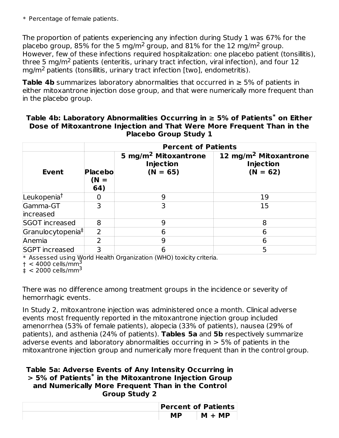\* Percentage of female patients.

The proportion of patients experiencing any infection during Study 1 was 67% for the placebo group, 85% for the 5 mg/m<sup>2</sup> group, and 81% for the 12 mg/m<sup>2</sup> group. However, few of these infections required hospitalization: one placebo patient (tonsillitis), three 5 mg/m<sup>2</sup> patients (enteritis, urinary tract infection, viral infection), and four 12 mg/m<sup>2</sup> patients (tonsillitis, urinary tract infection [two], endometritis).

**Table 4b** summarizes laboratory abnormalities that occurred in ≥ 5% of patients in either mitoxantrone injection dose group, and that were numerically more frequent than in the placebo group.

|                               |                               | <b>Percent of Patients</b>                                         |                                                                     |
|-------------------------------|-------------------------------|--------------------------------------------------------------------|---------------------------------------------------------------------|
| <b>Event</b>                  | <b>Placebo</b><br>(N =<br>64) | 5 mg/m <sup>2</sup> Mitoxantrone<br><b>Injection</b><br>$(N = 65)$ | 12 mg/m <sup>2</sup> Mitoxantrone<br><b>Injection</b><br>$(N = 62)$ |
| Leukopenia <sup>t</sup>       |                               | 9                                                                  | 19                                                                  |
| Gamma-GT<br>increased         | 3                             | 3                                                                  | 15                                                                  |
| <b>SGOT increased</b>         | 8                             | 9                                                                  | 8                                                                   |
| Granulocytopenia <sup>‡</sup> | $\overline{2}$                | 6                                                                  | 6                                                                   |
| Anemia                        | າ                             | 9                                                                  | 6                                                                   |
| <b>SGPT</b> increased         | 3                             | 6                                                                  | 5                                                                   |

| Table 4b: Laboratory Abnormalities Occurring in $\geq 5\%$ of Patients $^*$ on Either |
|---------------------------------------------------------------------------------------|
| Dose of Mitoxantrone Injection and That Were More Frequent Than in the                |
| <b>Placebo Group Study 1</b>                                                          |

\* Assessed using World Health Organization (WHO) toxicity criteria.

 $\dagger$  < 4000 cells/mm<sup>3</sup>

 $\frac{1}{4}$  < 2000 cells/mm<sup>3</sup>

There was no difference among treatment groups in the incidence or severity of hemorrhagic events.

In Study 2, mitoxantrone injection was administered once a month. Clinical adverse events most frequently reported in the mitoxantrone injection group included amenorrhea (53% of female patients), alopecia (33% of patients), nausea (29% of patients), and asthenia (24% of patients). **Tables 5a** and **5b** respectively summarize adverse events and laboratory abnormalities occurring in > 5% of patients in the mitoxantrone injection group and numerically more frequent than in the control group.

#### **Table 5a: Adverse Events of Any Intensity Occurring in > 5% of Patients in the Mitoxantrone Injection Group \*and Numerically More Frequent Than in the Control Group Study 2**

|    | <b>Percent of Patients</b> |
|----|----------------------------|
| МP | $M + MP$                   |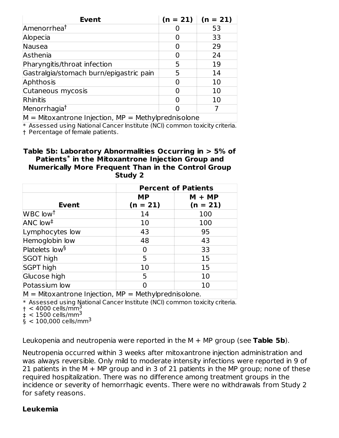| <b>Event</b>                                             |   | $(n = 21)$ $(n = 21)$ |
|----------------------------------------------------------|---|-----------------------|
| Amenorrhea <sup>t</sup>                                  |   | 53                    |
| Alopecia                                                 |   | 33                    |
| Nausea                                                   |   | 29                    |
| Asthenia                                                 | O | 24                    |
| Pharyngitis/throat infection                             | 5 | 19                    |
| Gastralgia/stomach burn/epigastric pain                  | 5 | 14                    |
| Aphthosis                                                |   | 10                    |
| Cutaneous mycosis                                        |   | 10                    |
| Rhinitis                                                 |   | 10                    |
| Menorrhagia <sup>†</sup>                                 |   |                       |
| $M = M$ itoxantrone Injection $MP = M$ ethylprednisolone |   |                       |

\* Assessed using National Cancer Institute (NCI) common toxicity criteria. † Percentage of female patients.  $\kappa$ antrone injection, MP = Methylprednisolone

#### **Table 5b: Laboratory Abnormalities Occurring in > 5% of Patients in the Mitoxantrone Injection Group and \* Numerically More Frequent Than in the Control Group Study 2**

|                                                           | <b>Percent of Patients</b> |            |  |  |
|-----------------------------------------------------------|----------------------------|------------|--|--|
|                                                           | <b>MP</b>                  | $M + MP$   |  |  |
| <b>Event</b>                                              | $(n = 21)$                 | $(n = 21)$ |  |  |
| WBC low <sup>t</sup>                                      | 14                         | 100        |  |  |
| $ANC$ low <sup>‡</sup>                                    | 10                         | 100        |  |  |
| Lymphocytes low                                           | 43                         | 95         |  |  |
| Hemoglobin low                                            | 48                         | 43         |  |  |
| Platelets low <sup>§</sup>                                | 0                          | 33         |  |  |
| SGOT high                                                 | 5                          | 15         |  |  |
| <b>SGPT high</b>                                          | 10                         | 15         |  |  |
| Glucose high                                              | 5                          | 10         |  |  |
| Potassium low                                             | O                          | 10         |  |  |
| $M = Mitox$ antrone Injection, $MP = Methy$ prednisolone. |                            |            |  |  |

\* Assessed using National Cancer Institute (NCI) common toxicity criteria.

 $\dagger$  < 4000 cells/mm<sup>3</sup>

 $\frac{1}{4}$  < 1500 cells/mm<sup>3</sup>

 $\frac{1}{9}$  < 100,000 cells/mm<sup>3</sup>

Leukopenia and neutropenia were reported in the M + MP group (see **Table 5b**).

Neutropenia occurred within 3 weeks after mitoxantrone injection administration and was always reversible. Only mild to moderate intensity infections were reported in 9 of 21 patients in the  $M + MP$  group and in 3 of 21 patients in the MP group; none of these required hospitalization. There was no difference among treatment groups in the incidence or severity of hemorrhagic events. There were no withdrawals from Study 2 for safety reasons.

#### **Leukemia**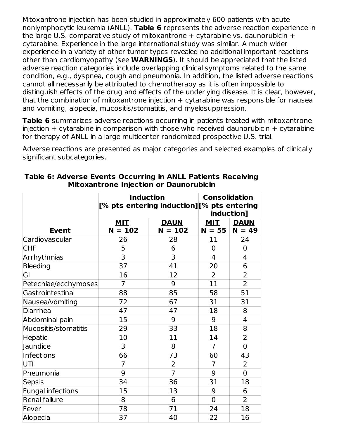Mitoxantrone injection has been studied in approximately 600 patients with acute nonlymphocytic leukemia (ANLL). **Table 6** represents the adverse reaction experience in the large U.S. comparative study of mitoxantrone  $+$  cytarabine vs. daunorubicin  $+$ cytarabine. Experience in the large international study was similar. A much wider experience in a variety of other tumor types revealed no additional important reactions other than cardiomyopathy (see **WARNINGS**). It should be appreciated that the listed adverse reaction categories include overlapping clinical symptoms related to the same condition, e.g., dyspnea, cough and pneumonia. In addition, the listed adverse reactions cannot all necessarily be attributed to chemotherapy as it is often impossible to distinguish effects of the drug and effects of the underlying disease. It is clear, however, that the combination of mitoxantrone injection  $+$  cytarabine was responsible for nausea and vomiting, alopecia, mucositis/stomatitis, and myelosuppression.

**Table 6** summarizes adverse reactions occurring in patients treated with mitoxantrone  $injection + cytarabine in comparison with those who received daunorubicin + cytarabine$ for therapy of ANLL in a large multicenter randomized prospective U.S. trial.

Adverse reactions are presented as major categories and selected examples of clinically significant subcategories.

|                          | <b>Induction</b>        | <b>Consolidation</b><br>[% pts entering induction][% pts entering<br>induction] |                        |                         |
|--------------------------|-------------------------|---------------------------------------------------------------------------------|------------------------|-------------------------|
| <b>Event</b>             | MIT<br>$N = 102$        | <b>DAUN</b><br>$N = 102$                                                        | <b>MIT</b><br>$N = 55$ | <b>DAUN</b><br>$N = 49$ |
| Cardiovascular           | 26                      | 28                                                                              | 11                     | 24                      |
| <b>CHF</b>               | 5                       | 6                                                                               | $\overline{0}$         | $\mathbf 0$             |
| Arrhythmias              | $\overline{\mathbf{3}}$ | 3                                                                               | 4                      | 4                       |
| <b>Bleeding</b>          | 37                      | 41                                                                              | 20                     | 6                       |
| GI                       | 16                      | 12                                                                              | $\overline{2}$         | $\overline{2}$          |
| Petechiae/ecchymoses     | $\overline{7}$          | 9                                                                               | 11                     | $\overline{2}$          |
| Gastrointestinal         | 88                      | 85                                                                              | 58                     | 51                      |
| Nausea/vomiting          | 72                      | 67                                                                              | 31                     | 31                      |
| Diarrhea                 | 47                      | 47                                                                              | 18                     | 8                       |
| Abdominal pain           | 15                      | 9                                                                               | 9                      | 4                       |
| Mucositis/stomatitis     | 29                      | 33                                                                              | 18                     | 8                       |
| Hepatic                  | 10                      | 11                                                                              | 14                     | $\overline{2}$          |
| Jaundice                 | 3                       | 8                                                                               | $\overline{7}$         | $\overline{0}$          |
| <b>Infections</b>        | 66                      | 73                                                                              | 60                     | 43                      |
| UTI                      | $\overline{7}$          | $\overline{2}$                                                                  | $\overline{7}$         | $\overline{2}$          |
| Pneumonia                | 9                       | $\overline{7}$                                                                  | 9                      | $\overline{0}$          |
| Sepsis                   | 34                      | 36                                                                              | 31                     | 18                      |
| <b>Fungal infections</b> | 15                      | 13                                                                              | 9                      | 6                       |
| Renal failure            | 8                       | 6                                                                               | $\mathbf 0$            | $\overline{2}$          |
| Fever                    | 78                      | 71                                                                              | 24                     | 18                      |
| Alopecia                 | 37                      | 40                                                                              | 22                     | 16                      |

#### **Table 6: Adverse Events Occurring in ANLL Patients Receiving Mitoxantrone Injection or Daunorubicin**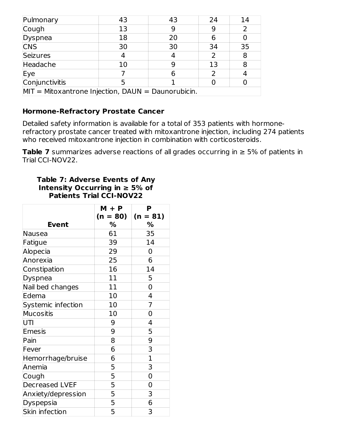| Pulmonary                                            | 43 | 43 | 24 | 14 |
|------------------------------------------------------|----|----|----|----|
| Cough                                                | 13 |    |    |    |
| Dyspnea                                              | 18 | 20 | 6  |    |
| <b>CNS</b>                                           | 30 | 30 | 34 | 35 |
| Seizures                                             |    |    |    | 8  |
| Headache                                             | 10 |    | 13 | 8  |
| Eye                                                  |    | 6  |    |    |
| Conjunctivitis                                       |    |    |    |    |
| $MIT = Mitoxantrone Injection, DAUN = Daunorubicin.$ |    |    |    |    |

## **Hormone-Refractory Prostate Cancer**

Detailed safety information is available for a total of 353 patients with hormonerefractory prostate cancer treated with mitoxantrone injection, including 274 patients who received mitoxantrone injection in combination with corticosteroids.

**Table 7** summarizes adverse reactions of all grades occurring in ≥ 5% of patients in Trial CCI-NOV22.

#### **Table 7: Adverse Events of Any Intensity Occurring in ≥ 5% of Patients Trial CCI-NOV22**

|                       | $M + P$                 | P           |
|-----------------------|-------------------------|-------------|
|                       | (n = 80)                | $(n = 81)$  |
| <b>Event</b>          | %                       | %           |
| Nausea                | 61                      | 35          |
| Fatigue               | 39                      | 14          |
| Alopecia              | 29                      | 0           |
| Anorexia              | 25                      | 6           |
| Constipation          | 16                      | 14          |
| <b>Dyspnea</b>        | 11                      | 5           |
| Nail bed changes      | 11                      | 0           |
| Edema                 | 10                      | 4           |
| Systemic infection    | 10                      | 7           |
| <b>Mucositis</b>      | 10                      | 0           |
| UTI                   | 9                       | 4           |
| <b>Emesis</b>         | 9                       | 5           |
| Pain                  | 8                       | 9           |
| Fever                 | 6                       | 3           |
| Hemorrhage/bruise     | 6                       | $\mathbf 1$ |
| Anemia                | $\overline{\mathbf{5}}$ | 3           |
| Cough                 | $\overline{5}$          | 0           |
| <b>Decreased LVEF</b> | $\overline{5}$          | 0           |
| Anxiety/depression    | $\overline{\mathbf{5}}$ | 3           |
| Dyspepsia             | $\overline{5}$          | 6           |
| Skin infection        | $\overline{5}$          | 3           |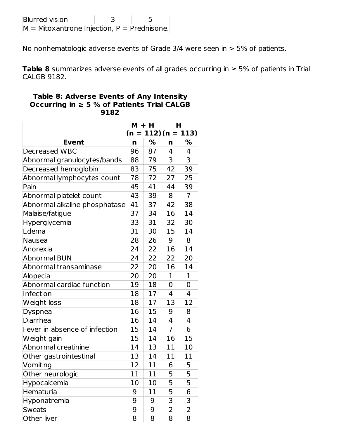| <b>Blurred vision</b>                         |  |
|-----------------------------------------------|--|
| $M =$ Mitoxantrone Injection, P = Prednisone. |  |

No nonhematologic adverse events of Grade 3/4 were seen in > 5% of patients.

**Table 8** summarizes adverse events of all grades occurring in ≥ 5% of patients in Trial CALGB 9182.

#### **Table 8: Adverse Events of Any Intensity Occurring in ≥ 5 % of Patients Trial CALGB 9182**

|                               | $M + H$     |    | н            |                         |
|-------------------------------|-------------|----|--------------|-------------------------|
|                               |             |    |              | $(n = 112)$ $(n = 113)$ |
| <b>Event</b>                  | $\mathbf n$ | %  | n            | ℅                       |
| Decreased WBC                 | 96          | 87 | 4            | 4                       |
| Abnormal granulocytes/bands   | 88          | 79 | 3            | 3                       |
| Decreased hemoglobin          | 83          | 75 | 42           | 39                      |
| Abnormal lymphocytes count    | 78          | 72 | 27           | 25                      |
| Pain                          | 45          | 41 | 44           | 39                      |
| Abnormal platelet count       | 43          | 39 | 8            | $\overline{7}$          |
| Abnormal alkaline phosphatase | 41          | 37 | 42           | 38                      |
| Malaise/fatigue               | 37          | 34 | 16           | 14                      |
| Hyperglycemia                 | 33          | 31 | 32           | 30                      |
| Edema                         | 31          | 30 | 15           | 14                      |
| <b>Nausea</b>                 | 28          | 26 | 9            | 8                       |
| Anorexia                      | 24          | 22 | 16           | 14                      |
| <b>Abnormal BUN</b>           | 24          | 22 | 22           | 20                      |
| Abnormal transaminase         | 22          | 20 | 16           | 14                      |
| Alopecia                      | 20          | 20 | $\mathbf{1}$ | $\mathbf{1}$            |
| Abnormal cardiac function     | 19          | 18 | 0            | 0                       |
| Infection                     | 18          | 17 | 4            | 4                       |
| Weight loss                   | 18          | 17 | 13           | 12                      |
| Dyspnea                       | 16          | 15 | 9            | 8                       |
| Diarrhea                      | 16          | 14 | 4            | 4                       |
| Fever in absence of infection | 15          | 14 | 7            | 6                       |
| Weight gain                   | 15          | 14 | 16           | 15                      |
| Abnormal creatinine           | 14          | 13 | 11           | 10                      |
| Other gastrointestinal        | 13          | 14 | 11           | 11                      |
| Vomiting                      | 12          | 11 | 6            | 5                       |
| Other neurologic              | 11          | 11 | 5            | 5                       |
| Hypocalcemia                  | 10          | 10 | 5            | 5                       |
| Hematuria                     | 9           | 11 | 5            | 6                       |
| Hyponatremia                  | 9           | 9  | 3            | 3                       |
| <b>Sweats</b>                 | 9           | 9  | 2            | 2                       |
| Other liver                   | 8           | 8  | 8            | 8                       |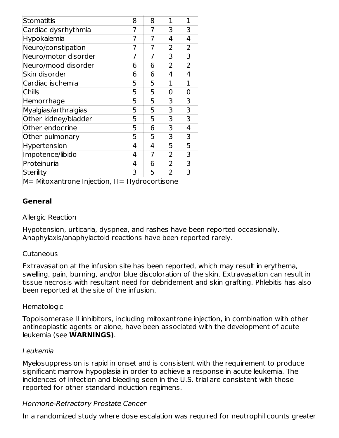| Stomatitis                                       | 8 | 8 | 1 | 1              |
|--------------------------------------------------|---|---|---|----------------|
| Cardiac dysrhythmia                              | 7 | 7 | 3 | 3              |
| Hypokalemia                                      | 7 | 7 | 4 | 4              |
| Neuro/constipation                               | 7 | 7 | 2 | 2              |
| Neuro/motor disorder                             | 7 | 7 | 3 | 3              |
| Neuro/mood disorder                              | 6 | 6 | 2 | $\overline{2}$ |
| Skin disorder                                    | 6 | 6 | 4 | 4              |
| Cardiac ischemia                                 | 5 | 5 | 1 | 1              |
| <b>Chills</b>                                    | 5 | 5 | 0 | 0              |
| Hemorrhage                                       | 5 | 5 | 3 | 3              |
| Myalgias/arthralgias                             | 5 | 5 | 3 | 3              |
| Other kidney/bladder                             | 5 | 5 | 3 | 3              |
| Other endocrine                                  | 5 | 6 | 3 | 4              |
| Other pulmonary                                  | 5 | 5 | 3 | 3              |
| Hypertension                                     | 4 | 4 | 5 | 5              |
| Impotence/libido                                 | 4 | 7 | 2 | 3              |
| Proteinuria                                      | 4 | 6 | 2 | 3              |
| <b>Sterility</b>                                 | 3 | 5 | 2 | 3              |
| $M=$ Mitoxantrone Injection, $H=$ Hydrocortisone |   |   |   |                |

#### **General**

#### Allergic Reaction

Hypotension, urticaria, dyspnea, and rashes have been reported occasionally. Anaphylaxis/anaphylactoid reactions have been reported rarely.

#### Cutaneous

Extravasation at the infusion site has been reported, which may result in erythema, swelling, pain, burning, and/or blue discoloration of the skin. Extravasation can result in tissue necrosis with resultant need for debridement and skin grafting. Phlebitis has also been reported at the site of the infusion.

#### Hematologic

Topoisomerase II inhibitors, including mitoxantrone injection, in combination with other antineoplastic agents or alone, have been associated with the development of acute leukemia (see **WARNINGS)**.

#### Leukemia

Myelosuppression is rapid in onset and is consistent with the requirement to produce significant marrow hypoplasia in order to achieve a response in acute leukemia. The incidences of infection and bleeding seen in the U.S. trial are consistent with those reported for other standard induction regimens.

#### Hormone-Refractory Prostate Cancer

In a randomized study where dose escalation was required for neutrophil counts greater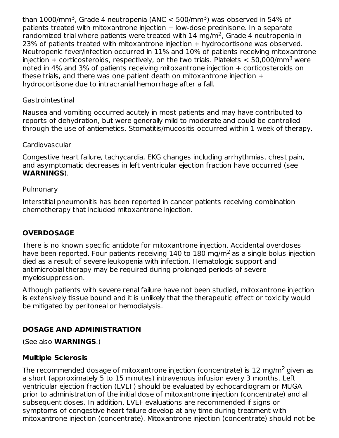than 1000/mm<sup>3</sup>, Grade 4 neutropenia (ANC  $<$  500/mm<sup>3</sup>) was observed in 54% of patients treated with mitoxantrone injection + low-dose prednisone. In a separate randomized trial where patients were treated with  $14 \text{ mg/m}^2$ , Grade 4 neutropenia in 23% of patients treated with mitoxantrone injection + hydrocortisone was observed. Neutropenic fever/infection occurred in 11% and 10% of patients receiving mitoxantrone injection + corticosteroids, respectively, on the two trials. Platelets  $<$  50,000/mm<sup>3</sup> were noted in 4% and 3% of patients receiving mitoxantrone injection + corticosteroids on these trials, and there was one patient death on mitoxantrone injection + hydrocortisone due to intracranial hemorrhage after a fall.

### **Gastrointestinal**

Nausea and vomiting occurred acutely in most patients and may have contributed to reports of dehydration, but were generally mild to moderate and could be controlled through the use of antiemetics. Stomatitis/mucositis occurred within 1 week of therapy.

### Cardiovascular

Congestive heart failure, tachycardia, EKG changes including arrhythmias, chest pain, and asymptomatic decreases in left ventricular ejection fraction have occurred (see **WARNINGS**).

### Pulmonary

Interstitial pneumonitis has been reported in cancer patients receiving combination chemotherapy that included mitoxantrone injection.

## **OVERDOSAGE**

There is no known specific antidote for mitoxantrone injection. Accidental overdoses have been reported. Four patients receiving 140 to 180 mg/m<sup>2</sup> as a single bolus injection died as a result of severe leukopenia with infection. Hematologic support and antimicrobial therapy may be required during prolonged periods of severe myelosuppression.

Although patients with severe renal failure have not been studied, mitoxantrone injection is extensively tissue bound and it is unlikely that the therapeutic effect or toxicity would be mitigated by peritoneal or hemodialysis.

## **DOSAGE AND ADMINISTRATION**

(See also **WARNINGS**.)

### **Multiple Sclerosis**

The recommended dosage of mitoxantrone injection (concentrate) is 12 mg/m<sup>2</sup> given as a short (approximately 5 to 15 minutes) intravenous infusion every 3 months. Left ventricular ejection fraction (LVEF) should be evaluated by echocardiogram or MUGA prior to administration of the initial dose of mitoxantrone injection (concentrate) and all subsequent doses. In addition, LVEF evaluations are recommended if signs or symptoms of congestive heart failure develop at any time during treatment with mitoxantrone injection (concentrate). Mitoxantrone injection (concentrate) should not be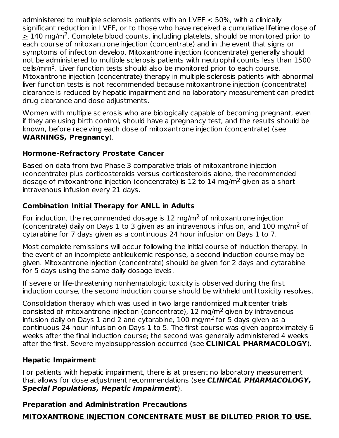administered to multiple sclerosis patients with an LVEF < 50%, with a clinically significant reduction in LVEF, or to those who have received a cumulative lifetime dose of  $\geq$  140 mg/m<sup>2</sup>. Complete blood counts, including platelets, should be monitored prior to each course of mitoxantrone injection (concentrate) and in the event that signs or symptoms of infection develop. Mitoxantrone injection (concentrate) generally should not be administered to multiple sclerosis patients with neutrophil counts less than 1500 cells/mm<sup>3</sup>. Liver function tests should also be monitored prior to each course. Mitoxantrone injection (concentrate) therapy in multiple sclerosis patients with abnormal liver function tests is not recommended because mitoxantrone injection (concentrate) clearance is reduced by hepatic impairment and no laboratory measurement can predict drug clearance and dose adjustments.

Women with multiple sclerosis who are biologically capable of becoming pregnant, even if they are using birth control, should have a pregnancy test, and the results should be known, before receiving each dose of mitoxantrone injection (concentrate) (see **WARNINGS, Pregnancy**).

### **Hormone-Refractory Prostate Cancer**

Based on data from two Phase 3 comparative trials of mitoxantrone injection (concentrate) plus corticosteroids versus corticosteroids alone, the recommended dosage of mitoxantrone injection (concentrate) is 12 to 14 mg/m<sup>2</sup> given as a short intravenous infusion every 21 days.

## **Combination Initial Therapy for ANLL in Adults**

For induction, the recommended dosage is  $12 \text{ mg/m}^2$  of mitoxantrone injection (concentrate) daily on Days 1 to 3 given as an intravenous infusion, and  $100 \text{ mg/m}^2$  of cytarabine for 7 days given as a continuous 24 hour infusion on Days 1 to 7.

Most complete remissions will occur following the initial course of induction therapy. In the event of an incomplete antileukemic response, a second induction course may be given. Mitoxantrone injection (concentrate) should be given for 2 days and cytarabine for 5 days using the same daily dosage levels.

If severe or life-threatening nonhematologic toxicity is observed during the first induction course, the second induction course should be withheld until toxicity resolves.

Consolidation therapy which was used in two large randomized multicenter trials consisted of mitoxantrone injection (concentrate), 12 mg/m<sup>2</sup> given by intravenous infusion daily on Days 1 and 2 and cytarabine,  $100$  mg/m<sup>2</sup> for 5 days given as a continuous 24 hour infusion on Days 1 to 5. The first course was given approximately 6 weeks after the final induction course; the second was generally administered 4 weeks after the first. Severe myelosuppression occurred (see **CLINICAL PHARMACOLOGY**).

### **Hepatic Impairment**

For patients with hepatic impairment, there is at present no laboratory measurement that allows for dose adjustment recommendations (see **CLINICAL PHARMACOLOGY, Special Populations, Hepatic Impairment**).

### **Preparation and Administration Precautions**

## **MITOXANTRONE INJECTION CONCENTRATE MUST BE DILUTED PRIOR TO USE.**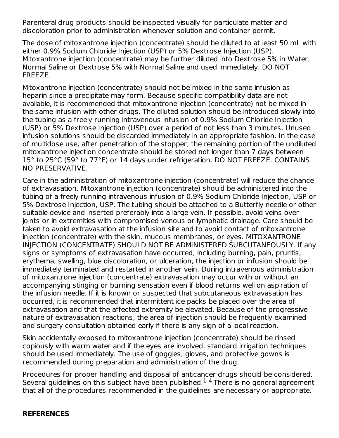Parenteral drug products should be inspected visually for particulate matter and discoloration prior to administration whenever solution and container permit.

The dose of mitoxantrone injection (concentrate) should be diluted to at least 50 mL with either 0.9% Sodium Chloride Injection (USP) or 5% Dextrose Injection (USP). Mitoxantrone injection (concentrate) may be further diluted into Dextrose 5% in Water, Normal Saline or Dextrose 5% with Normal Saline and used immediately. DO NOT FREEZE.

Mitoxantrone injection (concentrate) should not be mixed in the same infusion as heparin since a precipitate may form. Because specific compatibility data are not available, it is recommended that mitoxantrone injection (concentrate) not be mixed in the same infusion with other drugs. The diluted solution should be introduced slowly into the tubing as a freely running intravenous infusion of 0.9% Sodium Chloride Injection (USP) or 5% Dextrose Injection (USP) over a period of not less than 3 minutes. Unused infusion solutions should be discarded immediately in an appropriate fashion. In the case of multidose use, after penetration of the stopper, the remaining portion of the undiluted mitoxantrone injection concentrate should be stored not longer than 7 days between 15° to 25°C (59° to 77°F) or 14 days under refrigeration. DO NOT FREEZE. CONTAINS NO PRESERVATIVE.

Care in the administration of mitoxantrone injection (concentrate) will reduce the chance of extravasation. Mitoxantrone injection (concentrate) should be administered into the tubing of a freely running intravenous infusion of 0.9% Sodium Chloride Injection, USP or 5% Dextrose Injection, USP. The tubing should be attached to a Butterfly needle or other suitable device and inserted preferably into a large vein. If possible, avoid veins over joints or in extremities with compromised venous or lymphatic drainage. Care should be taken to avoid extravasation at the infusion site and to avoid contact of mitoxantrone injection (concentrate) with the skin, mucous membranes, or eyes. MITOXANTRONE INJECTION (CONCENTRATE) SHOULD NOT BE ADMINISTERED SUBCUTANEOUSLY. If any signs or symptoms of extravasation have occurred, including burning, pain, pruritis, erythema, swelling, blue discoloration, or ulceration, the injection or infusion should be immediately terminated and restarted in another vein. During intravenous administration of mitoxantrone injection (concentrate) extravasation may occur with or without an accompanying stinging or burning sensation even if blood returns well on aspiration of the infusion needle. If it is known or suspected that subcutaneous extravasation has occurred, it is recommended that intermittent ice packs be placed over the area of extravasation and that the affected extremity be elevated. Because of the progressive nature of extravasation reactions, the area of injection should be frequently examined and surgery consultation obtained early if there is any sign of a local reaction.

Skin accidentally exposed to mitoxantrone injection (concentrate) should be rinsed copiously with warm water and if the eyes are involved, standard irrigation techniques should be used immediately. The use of goggles, gloves, and protective gowns is recommended during preparation and administration of the drug.

Procedures for proper handling and disposal of anticancer drugs should be considered. Several guidelines on this subject have been published. $1-4$  There is no general agreement that all of the procedures recommended in the guidelines are necessary or appropriate.

#### **REFERENCES**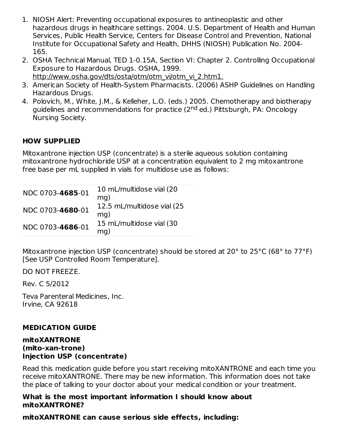- 1. NIOSH Alert: Preventing occupational exposures to antineoplastic and other hazardous drugs in healthcare settings. 2004. U.S. Department of Health and Human Services, Public Health Service, Centers for Disease Control and Prevention, National Institute for Occupational Safety and Health, DHHS (NIOSH) Publication No. 2004- 165.
- 2. OSHA Technical Manual, TED 1-0.15A, Section VI: Chapter 2. Controlling Occupational Exposure to Hazardous Drugs. OSHA, 1999. http://www.osha.gov/dts/osta/otm/otm\_vi/otm\_vi\_2.htm1.
- 3. American Society of Health-System Pharmacists. (2006) ASHP Guidelines on Handling Hazardous Drugs.
- 4. Polovich, M., White, J.M., & Kelleher, L.O. (eds.) 2005. Chemotherapy and biotherapy guidelines and recommendations for practice (2<sup>nd</sup> ed.) Pittsburgh, PA: Oncology Nursing Society.

### **HOW SUPPLIED**

Mitoxantrone injection USP (concentrate) is a sterile aqueous solution containing mitoxantrone hydrochloride USP at a concentration equivalent to 2 mg mitoxantrone free base per mL supplied in vials for multidose use as follows:

| NDC 0703-4685-01 | 10 mL/multidose vial (20<br>$mq$ )    |
|------------------|---------------------------------------|
| NDC 0703-4680-01 | 12.5 mL/multidose vial (25)<br>$mq$ ) |
| NDC 0703-4686-01 | 15 mL/multidose vial (30<br>mg)       |

Mitoxantrone injection USP (concentrate) should be stored at 20° to 25°C (68° to 77°F) [See USP Controlled Room Temperature].

DO NOT FREEZE.

Rev. C 5/2012

Teva Parenteral Medicines, Inc. Irvine, CA 92618

### **MEDICATION GUIDE**

#### **mitoXANTRONE (mito-xan-trone) Injection USP (concentrate)**

Read this medication guide before you start receiving mitoXANTRONE and each time you receive mitoXANTRONE. There may be new information. This information does not take the place of talking to your doctor about your medical condition or your treatment.

#### **What is the most important information I should know about mitoXANTRONE?**

### **mitoXANTRONE can cause serious side effects, including:**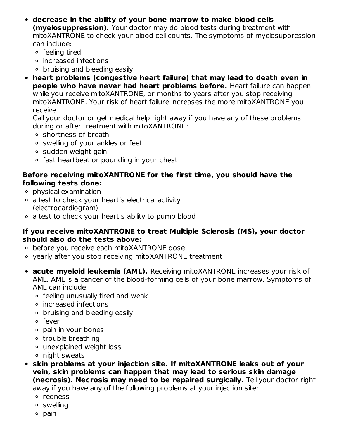- **decrease in the ability of your bone marrow to make blood cells (myelosuppression).** Your doctor may do blood tests during treatment with mitoXANTRONE to check your blood cell counts. The symptoms of myelosuppression can include:
	- feeling tired
	- increased infections
	- $\circ$  bruising and bleeding easily
- **heart problems (congestive heart failure) that may lead to death even in people who have never had heart problems before.** Heart failure can happen while you receive mitoXANTRONE, or months to years after you stop receiving mitoXANTRONE. Your risk of heart failure increases the more mitoXANTRONE you receive.

Call your doctor or get medical help right away if you have any of these problems during or after treatment with mitoXANTRONE:

- shortness of breath
- swelling of your ankles or feet
- o sudden weight gain
- fast heartbeat or pounding in your chest

#### **Before receiving mitoXANTRONE for the first time, you should have the following tests done:**

- physical examination
- a test to check your heart's electrical activity (electrocardiogram)
- a test to check your heart's ability to pump blood

#### **If you receive mitoXANTRONE to treat Multiple Sclerosis (MS), your doctor should also do the tests above:**

- before you receive each mitoXANTRONE dose
- yearly after you stop receiving mitoXANTRONE treatment
- **acute myeloid leukemia (AML).** Receiving mitoXANTRONE increases your risk of AML. AML is a cancer of the blood-forming cells of your bone marrow. Symptoms of AML can include:
	- feeling unusually tired and weak
	- increased infections
	- bruising and bleeding easily
	- fever
	- pain in your bones
	- trouble breathing
	- unexplained weight loss
	- night sweats
- **skin problems at your injection site. If mitoXANTRONE leaks out of your vein, skin problems can happen that may lead to serious skin damage (necrosis). Necrosis may need to be repaired surgically.** Tell your doctor right away if you have any of the following problems at your injection site:
	- redness
	- swelling
	- pain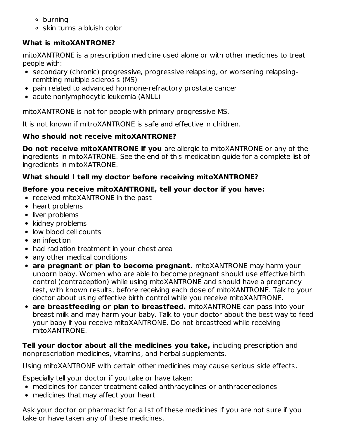- burning
- skin turns a bluish color

## **What is mitoXANTRONE?**

mitoXANTRONE is a prescription medicine used alone or with other medicines to treat people with:

- secondary (chronic) progressive, progressive relapsing, or worsening relapsingremitting multiple sclerosis (MS)
- pain related to advanced hormone-refractory prostate cancer
- acute nonlymphocytic leukemia (ANLL)

mitoXANTRONE is not for people with primary progressive MS.

It is not known if mitroXANTRONE is safe and effective in children.

## **Who should not receive mitoXANTRONE?**

**Do not receive mitoXANTRONE if you** are allergic to mitoXANTRONE or any of the ingredients in mitoXATRONE. See the end of this medication guide for a complete list of ingredients in mitoXATRONE.

## **What should I tell my doctor before receiving mitoXANTRONE?**

## **Before you receive mitoXANTRONE, tell your doctor if you have:**

- received mitoXANTRONE in the past
- heart problems
- liver problems
- kidney problems
- low blood cell counts
- an infection
- had radiation treatment in your chest area
- any other medical conditions
- **are pregnant or plan to become pregnant.** mitoXANTRONE may harm your unborn baby. Women who are able to become pregnant should use effective birth control (contraception) while using mitoXANTRONE and should have a pregnancy test, with known results, before receiving each dose of mitoXANTRONE. Talk to your doctor about using effective birth control while you receive mitoXANTRONE.
- **are breastfeeding or plan to breastfeed.** mitoXANTRONE can pass into your breast milk and may harm your baby. Talk to your doctor about the best way to feed your baby if you receive mitoXANTRONE. Do not breastfeed while receiving mitoXANTRONE.

**Tell your doctor about all the medicines you take,** including prescription and nonprescription medicines, vitamins, and herbal supplements.

Using mitoXANTRONE with certain other medicines may cause serious side effects.

Especially tell your doctor if you take or have taken:

- medicines for cancer treatment called anthracyclines or anthracenediones
- medicines that may affect your heart

Ask your doctor or pharmacist for a list of these medicines if you are not sure if you take or have taken any of these medicines.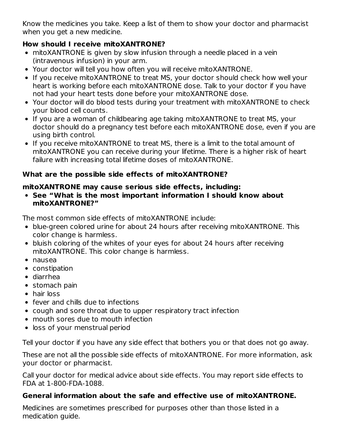Know the medicines you take. Keep a list of them to show your doctor and pharmacist when you get a new medicine.

## **How should I receive mitoXANTRONE?**

- mitoXANTRONE is given by slow infusion through a needle placed in a vein (intravenous infusion) in your arm.
- Your doctor will tell you how often you will receive mitoXANTRONE.
- If you receive mitoXANTRONE to treat MS, your doctor should check how well your heart is working before each mitoXANTRONE dose. Talk to your doctor if you have not had your heart tests done before your mitoXANTRONE dose.
- Your doctor will do blood tests during your treatment with mitoXANTRONE to check your blood cell counts.
- If you are a woman of childbearing age taking mitoXANTRONE to treat MS, your doctor should do a pregnancy test before each mitoXANTRONE dose, even if you are using birth control.
- If you receive mitoXANTRONE to treat MS, there is a limit to the total amount of mitoXANTRONE you can receive during your lifetime. There is a higher risk of heart failure with increasing total lifetime doses of mitoXANTRONE.

## **What are the possible side effects of mitoXANTRONE?**

### **mitoXANTRONE may cause serious side effects, including:**

**See "What is the most important information I should know about mitoXANTRONE?"**

The most common side effects of mitoXANTRONE include:

- blue-green colored urine for about 24 hours after receiving mitoXANTRONE. This color change is harmless.
- bluish coloring of the whites of your eyes for about 24 hours after receiving mitoXANTRONE. This color change is harmless.
- nausea
- constipation
- diarrhea
- stomach pain
- hair loss
- fever and chills due to infections
- cough and sore throat due to upper respiratory tract infection
- mouth sores due to mouth infection
- loss of your menstrual period

Tell your doctor if you have any side effect that bothers you or that does not go away.

These are not all the possible side effects of mitoXANTRONE. For more information, ask your doctor or pharmacist.

Call your doctor for medical advice about side effects. You may report side effects to FDA at 1-800-FDA-1088.

### **General information about the safe and effective use of mitoXANTRONE.**

Medicines are sometimes prescribed for purposes other than those listed in a medication guide.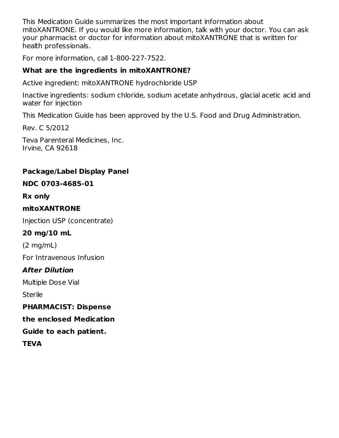This Medication Guide summarizes the most important information about mitoXANTRONE. If you would like more information, talk with your doctor. You can ask your pharmacist or doctor for information about mitoXANTRONE that is written for health professionals.

For more information, call 1-800-227-7522.

## **What are the ingredients in mitoXANTRONE?**

Active ingredient: mitoXANTRONE hydrochloride USP

Inactive ingredients: sodium chloride, sodium acetate anhydrous, glacial acetic acid and water for injection

This Medication Guide has been approved by the U.S. Food and Drug Administration.

Rev. C 5/2012

Teva Parenteral Medicines, Inc. Irvine, CA 92618

## **Package/Label Display Panel**

## **NDC 0703-4685-01**

**Rx only**

### **mitoXANTRONE**

Injection USP (concentrate)

### **20 mg/10 mL**

(2 mg/mL)

For Intravenous Infusion

## **After Dilution**

Multiple Dose Vial

**Sterile** 

### **PHARMACIST: Dispense**

**the enclosed Medication**

**Guide to each patient.**

**TEVA**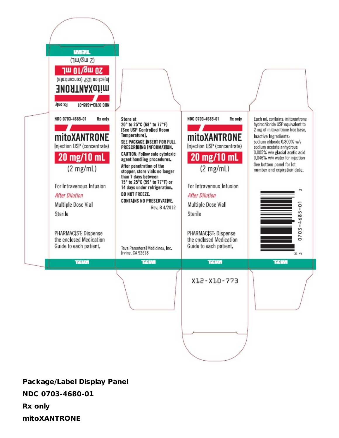

**Package/Label Display Panel NDC 0703-4680-01**

**Rx only**

**mitoXANTRONE**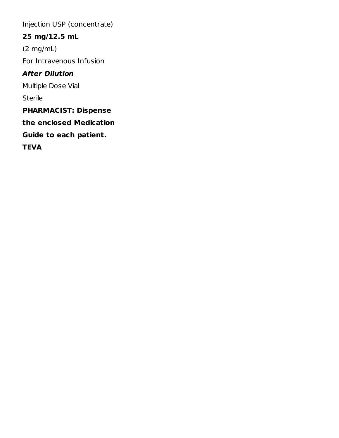Injection USP (concentrate)

# **25 mg/12.5 mL**

(2 mg/mL)

For Intravenous Infusion

# **After Dilution**

Multiple Dose Vial

Sterile

**PHARMACIST: Dispense**

**the enclosed Medication**

**Guide to each patient.**

**TEVA**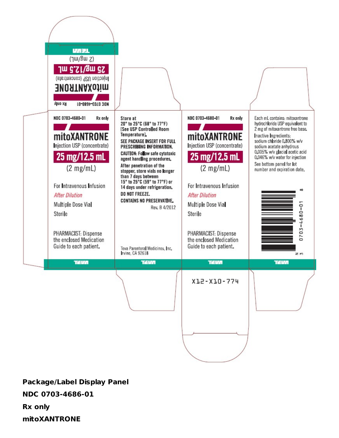

**Package/Label Display Panel**

**NDC 0703-4686-01**

**Rx only**

**mitoXANTRONE**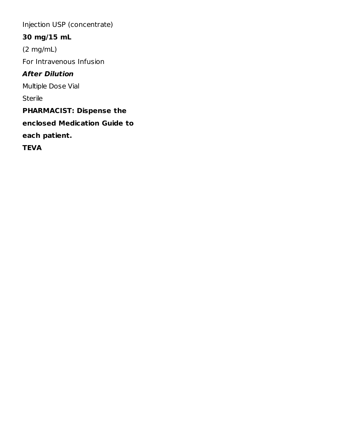Injection USP (concentrate)

# **30 mg/15 mL**

(2 mg/mL) For Intravenous Infusion

## **After Dilution**

Multiple Dose Vial

Sterile

**PHARMACIST: Dispense the**

**enclosed Medication Guide to**

**each patient.**

**TEVA**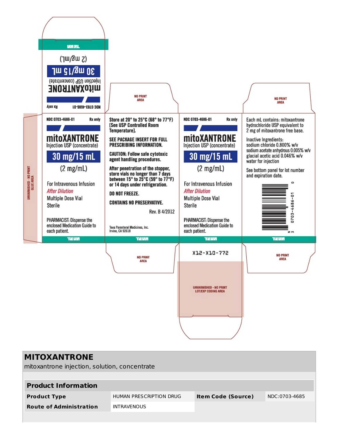

| <b>MITOXANTRONE</b>                           |                         |                           |               |
|-----------------------------------------------|-------------------------|---------------------------|---------------|
| mitoxantrone injection, solution, concentrate |                         |                           |               |
|                                               |                         |                           |               |
| <b>Product Information</b>                    |                         |                           |               |
| <b>Product Type</b>                           | HUMAN PRESCRIPTION DRUG | <b>Item Code (Source)</b> | NDC:0703-4685 |
| <b>Route of Administration</b>                | <b>INTRAVENOUS</b>      |                           |               |
|                                               |                         |                           |               |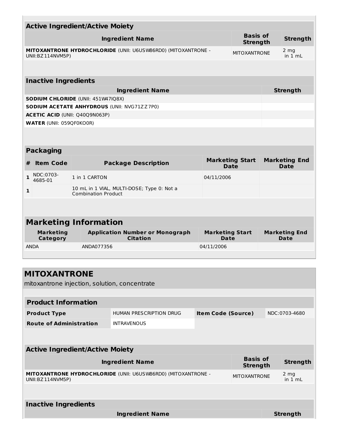|   |                                     | <b>Active Ingredient/Active Moiety</b>    |                                                               |                                |                                    |                                      |
|---|-------------------------------------|-------------------------------------------|---------------------------------------------------------------|--------------------------------|------------------------------------|--------------------------------------|
|   |                                     |                                           | <b>Ingredient Name</b>                                        |                                | <b>Basis of</b><br><b>Strength</b> | <b>Strength</b>                      |
|   | UNII:BZ114NVM5P)                    |                                           | MITOXANTRONE HYDROCHLORIDE (UNII: U6USW86RD0) (MITOXANTRONE - |                                | <b>MITOXANTRONE</b>                | 2 <sub>mg</sub><br>in $1 \text{ mL}$ |
|   |                                     |                                           |                                                               |                                |                                    |                                      |
|   | <b>Inactive Ingredients</b>         |                                           |                                                               |                                |                                    |                                      |
|   |                                     |                                           | <b>Ingredient Name</b>                                        |                                |                                    | <b>Strength</b>                      |
|   |                                     | <b>SODIUM CHLORIDE (UNII: 451W47IQ8X)</b> |                                                               |                                |                                    |                                      |
|   |                                     |                                           | <b>SODIUM ACETATE ANHYDROUS (UNII: NVG71ZZ7P0)</b>            |                                |                                    |                                      |
|   |                                     | ACETIC ACID (UNII: Q40Q9N063P)            |                                                               |                                |                                    |                                      |
|   | <b>WATER (UNII: 059QF0KO0R)</b>     |                                           |                                                               |                                |                                    |                                      |
|   |                                     |                                           |                                                               |                                |                                    |                                      |
|   | <b>Packaging</b>                    |                                           |                                                               |                                |                                    |                                      |
| # | <b>Item Code</b>                    |                                           | <b>Package Description</b>                                    |                                | <b>Marketing Start</b><br>Date     | <b>Marketing End</b><br><b>Date</b>  |
| 1 | NDC:0703-<br>4685-01                | 1 in 1 CARTON                             |                                                               | 04/11/2006                     |                                    |                                      |
| 1 |                                     | <b>Combination Product</b>                | 10 mL in 1 VIAL, MULTI-DOSE; Type 0: Not a                    |                                |                                    |                                      |
|   |                                     |                                           |                                                               |                                |                                    |                                      |
|   |                                     | <b>Marketing Information</b>              |                                                               |                                |                                    |                                      |
|   |                                     |                                           |                                                               |                                |                                    |                                      |
|   | <b>Marketing</b><br><b>Category</b> |                                           | <b>Application Number or Monograph</b><br><b>Citation</b>     | <b>Marketing Start</b><br>Date |                                    | <b>Marketing End</b><br>Date         |
|   | <b>ANDA</b>                         | ANDA077356                                |                                                               | 04/11/2006                     |                                    |                                      |
|   |                                     |                                           |                                                               |                                |                                    |                                      |
|   | <b>MITOXANTRONE</b>                 |                                           |                                                               |                                |                                    |                                      |
|   |                                     |                                           | mitoxantrone injection, solution, concentrate                 |                                |                                    |                                      |
|   |                                     |                                           |                                                               |                                |                                    |                                      |
|   | <b>Product Information</b>          |                                           |                                                               |                                |                                    |                                      |
|   | <b>Product Type</b>                 |                                           | <b>HUMAN PRESCRIPTION DRUG</b>                                | <b>Item Code (Source)</b>      |                                    | NDC:0703-4680                        |
|   | <b>Route of Administration</b>      |                                           | <b>INTRAVENOUS</b>                                            |                                |                                    |                                      |
|   |                                     |                                           |                                                               |                                |                                    |                                      |
|   |                                     | <b>Active Ingredient/Active Moiety</b>    |                                                               |                                |                                    |                                      |
|   |                                     |                                           | <b>Ingredient Name</b>                                        |                                | <b>Basis of</b><br><b>Strength</b> | <b>Strength</b>                      |
|   | UNII:BZ114NVM5P)                    |                                           | MITOXANTRONE HYDROCHLORIDE (UNII: U6USW86RD0) (MITOXANTRONE - |                                | <b>MITOXANTRONE</b>                | 2 mg<br>in $1 \text{ mL}$            |
|   |                                     |                                           |                                                               |                                |                                    |                                      |
|   | <b>Inactive Ingredients</b>         |                                           |                                                               |                                |                                    |                                      |
|   |                                     |                                           | <b>Ingredient Name</b>                                        |                                |                                    | <b>Strength</b>                      |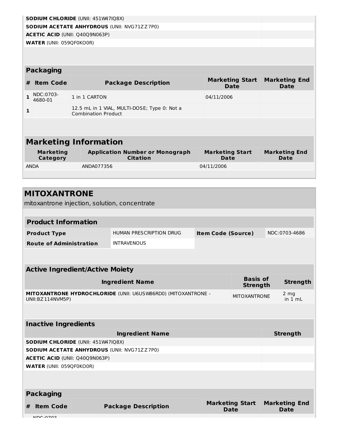|              |                                     | SODIUM CHLORIDE (UNII: 451W47IQ8X)                                         |                                       |                                     |
|--------------|-------------------------------------|----------------------------------------------------------------------------|---------------------------------------|-------------------------------------|
|              |                                     | <b>SODIUM ACETATE ANHYDROUS (UNII: NVG71ZZ7P0)</b>                         |                                       |                                     |
|              |                                     | <b>ACETIC ACID (UNII: Q40Q9N063P)</b>                                      |                                       |                                     |
|              | <b>WATER (UNII: 059QF0KO0R)</b>     |                                                                            |                                       |                                     |
|              |                                     |                                                                            |                                       |                                     |
|              |                                     |                                                                            |                                       |                                     |
|              | <b>Packaging</b>                    |                                                                            |                                       |                                     |
| #            | <b>Item Code</b>                    | <b>Package Description</b>                                                 | <b>Marketing Start</b><br>Date        | <b>Marketing End</b><br>Date        |
| $\mathbf{1}$ | NDC:0703-<br>4680-01                | 1 in 1 CARTON                                                              | 04/11/2006                            |                                     |
| 1            |                                     | 12.5 mL in 1 VIAL, MULTI-DOSE; Type 0: Not a<br><b>Combination Product</b> |                                       |                                     |
|              |                                     |                                                                            |                                       |                                     |
|              |                                     |                                                                            |                                       |                                     |
|              |                                     | <b>Marketing Information</b>                                               |                                       |                                     |
|              | <b>Marketing</b><br><b>Category</b> | <b>Application Number or Monograph</b><br><b>Citation</b>                  | <b>Marketing Start</b><br><b>Date</b> | <b>Marketing End</b><br><b>Date</b> |
|              | <b>ANDA</b>                         | ANDA077356                                                                 | 04/11/2006                            |                                     |
|              |                                     |                                                                            |                                       |                                     |
|              |                                     |                                                                            |                                       |                                     |
|              |                                     |                                                                            |                                       |                                     |

| <b>MITOXANTRONE</b><br>mitoxantrone injection, solution, concentrate              |                            |                           |                                    |                                     |
|-----------------------------------------------------------------------------------|----------------------------|---------------------------|------------------------------------|-------------------------------------|
| <b>Product Information</b>                                                        |                            |                           |                                    |                                     |
| <b>Product Type</b>                                                               | HUMAN PRESCRIPTION DRUG    | <b>Item Code (Source)</b> |                                    | NDC:0703-4686                       |
| <b>Route of Administration</b>                                                    | <b>INTRAVENOUS</b>         |                           |                                    |                                     |
|                                                                                   |                            |                           |                                    |                                     |
| <b>Active Ingredient/Active Moiety</b>                                            |                            |                           |                                    |                                     |
|                                                                                   | <b>Ingredient Name</b>     |                           | <b>Basis of</b><br><b>Strength</b> | <b>Strength</b>                     |
| MITOXANTRONE HYDROCHLORIDE (UNII: U6USW86RD0) (MITOXANTRONE -<br>UNII:BZ114NVM5P) |                            |                           | <b>MITOXANTRONE</b>                | 2 mg<br>in 1 mL                     |
|                                                                                   |                            |                           |                                    |                                     |
| <b>Inactive Ingredients</b>                                                       |                            |                           |                                    |                                     |
|                                                                                   | <b>Ingredient Name</b>     |                           |                                    | <b>Strength</b>                     |
| <b>SODIUM CHLORIDE (UNII: 451W47IQ8X)</b>                                         |                            |                           |                                    |                                     |
| <b>SODIUM ACETATE ANHYDROUS (UNII: NVG71ZZ7P0)</b>                                |                            |                           |                                    |                                     |
| ACETIC ACID (UNII: Q40Q9N063P)                                                    |                            |                           |                                    |                                     |
| <b>WATER (UNII: 059QF0KO0R)</b>                                                   |                            |                           |                                    |                                     |
|                                                                                   |                            |                           |                                    |                                     |
| <b>Packaging</b>                                                                  |                            |                           |                                    |                                     |
| <b>Item Code</b><br>#<br>NDC.0702                                                 | <b>Package Description</b> | <b>Date</b>               | <b>Marketing Start</b>             | <b>Marketing End</b><br><b>Date</b> |